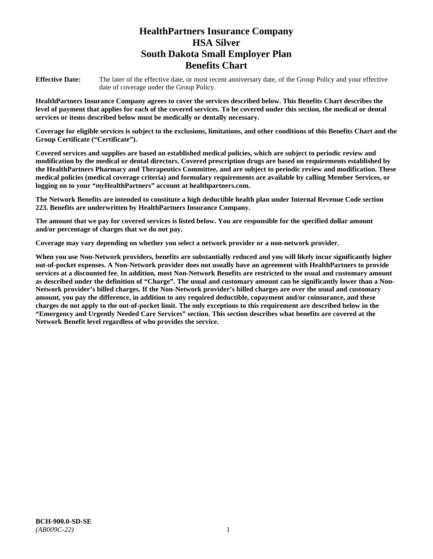# **HealthPartners Insurance Company HSA Silver South Dakota Small Employer Plan Benefits Chart**

**Effective Date:** The later of the effective date, or most recent anniversary date, of the Group Policy and your effective date of coverage under the Group Policy.

**HealthPartners Insurance Company agrees to cover the services described below. This Benefits Chart describes the level of payment that applies for each of the covered services. To be covered under this section, the medical or dental services or items described below must be medically or dentally necessary.**

**Coverage for eligible services is subject to the exclusions, limitations, and other conditions of this Benefits Chart and the Group Certificate ("Certificate").**

**Covered services and supplies are based on established medical policies, which are subject to periodic review and modification by the medical or dental directors. Covered prescription drugs are based on requirements established by the HealthPartners Pharmacy and Therapeutics Committee, and are subject to periodic review and modification. These medical policies (medical coverage criteria) and formulary requirements are available by calling Member Services, or logging on to your "***my***HealthPartners" account at [healthpartners.com.](file://isntmacsrv0/www.healthpartners.com)**

**The Network Benefits are intended to constitute a high deductible health plan under Internal Revenue Code section 223. Benefits are underwritten by HealthPartners Insurance Company.**

**The amount that we pay for covered services is listed below. You are responsible for the specified dollar amount and/or percentage of charges that we do not pay.**

**Coverage may vary depending on whether you select a network provider or a non-network provider.**

**When you use Non-Network providers, benefits are substantially reduced and you will likely incur significantly higher out-of-pocket expenses. A Non-Network provider does not usually have an agreement with HealthPartners to provide services at a discounted fee. In addition, most Non-Network Benefits are restricted to the usual and customary amount as described under the definition of "Charge". The usual and customary amount can be significantly lower than a Non-Network provider's billed charges. If the Non-Network provider's billed charges are over the usual and customary amount, you pay the difference, in addition to any required deductible, copayment and/or coinsurance, and these charges do not apply to the out-of-pocket limit. The only exceptions to this requirement are described below in the "Emergency and Urgently Needed Care Services" section. This section describes what benefits are covered at the Network Benefit level regardless of who provides the service.**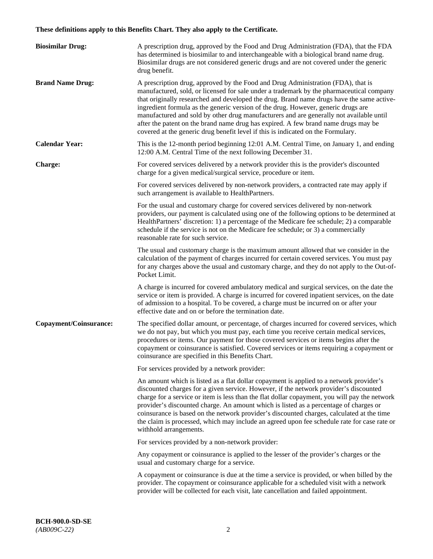# **These definitions apply to this Benefits Chart. They also apply to the Certificate.**

| <b>Biosimilar Drug:</b> | A prescription drug, approved by the Food and Drug Administration (FDA), that the FDA<br>has determined is biosimilar to and interchangeable with a biological brand name drug.<br>Biosimilar drugs are not considered generic drugs and are not covered under the generic<br>drug benefit.                                                                                                                                                                                                                                                                                                                                         |
|-------------------------|-------------------------------------------------------------------------------------------------------------------------------------------------------------------------------------------------------------------------------------------------------------------------------------------------------------------------------------------------------------------------------------------------------------------------------------------------------------------------------------------------------------------------------------------------------------------------------------------------------------------------------------|
| <b>Brand Name Drug:</b> | A prescription drug, approved by the Food and Drug Administration (FDA), that is<br>manufactured, sold, or licensed for sale under a trademark by the pharmaceutical company<br>that originally researched and developed the drug. Brand name drugs have the same active-<br>ingredient formula as the generic version of the drug. However, generic drugs are<br>manufactured and sold by other drug manufacturers and are generally not available until<br>after the patent on the brand name drug has expired. A few brand name drugs may be<br>covered at the generic drug benefit level if this is indicated on the Formulary. |
| <b>Calendar Year:</b>   | This is the 12-month period beginning 12:01 A.M. Central Time, on January 1, and ending<br>12:00 A.M. Central Time of the next following December 31.                                                                                                                                                                                                                                                                                                                                                                                                                                                                               |
| <b>Charge:</b>          | For covered services delivered by a network provider this is the provider's discounted<br>charge for a given medical/surgical service, procedure or item.                                                                                                                                                                                                                                                                                                                                                                                                                                                                           |
|                         | For covered services delivered by non-network providers, a contracted rate may apply if<br>such arrangement is available to HealthPartners.                                                                                                                                                                                                                                                                                                                                                                                                                                                                                         |
|                         | For the usual and customary charge for covered services delivered by non-network<br>providers, our payment is calculated using one of the following options to be determined at<br>HealthPartners' discretion: 1) a percentage of the Medicare fee schedule; 2) a comparable<br>schedule if the service is not on the Medicare fee schedule; or 3) a commercially<br>reasonable rate for such service.                                                                                                                                                                                                                              |
|                         | The usual and customary charge is the maximum amount allowed that we consider in the<br>calculation of the payment of charges incurred for certain covered services. You must pay<br>for any charges above the usual and customary charge, and they do not apply to the Out-of-<br>Pocket Limit.                                                                                                                                                                                                                                                                                                                                    |
|                         | A charge is incurred for covered ambulatory medical and surgical services, on the date the<br>service or item is provided. A charge is incurred for covered inpatient services, on the date<br>of admission to a hospital. To be covered, a charge must be incurred on or after your<br>effective date and on or before the termination date.                                                                                                                                                                                                                                                                                       |
| Copayment/Coinsurance:  | The specified dollar amount, or percentage, of charges incurred for covered services, which<br>we do not pay, but which you must pay, each time you receive certain medical services,<br>procedures or items. Our payment for those covered services or items begins after the<br>copayment or coinsurance is satisfied. Covered services or items requiring a copayment or<br>coinsurance are specified in this Benefits Chart.                                                                                                                                                                                                    |
|                         | For services provided by a network provider:                                                                                                                                                                                                                                                                                                                                                                                                                                                                                                                                                                                        |
|                         | An amount which is listed as a flat dollar copayment is applied to a network provider's<br>discounted charges for a given service. However, if the network provider's discounted<br>charge for a service or item is less than the flat dollar copayment, you will pay the network<br>provider's discounted charge. An amount which is listed as a percentage of charges or<br>coinsurance is based on the network provider's discounted charges, calculated at the time<br>the claim is processed, which may include an agreed upon fee schedule rate for case rate or<br>withhold arrangements.                                    |
|                         | For services provided by a non-network provider:                                                                                                                                                                                                                                                                                                                                                                                                                                                                                                                                                                                    |
|                         | Any copayment or coinsurance is applied to the lesser of the provider's charges or the<br>usual and customary charge for a service.                                                                                                                                                                                                                                                                                                                                                                                                                                                                                                 |
|                         | A copayment or coinsurance is due at the time a service is provided, or when billed by the<br>provider. The copayment or coinsurance applicable for a scheduled visit with a network<br>provider will be collected for each visit, late cancellation and failed appointment.                                                                                                                                                                                                                                                                                                                                                        |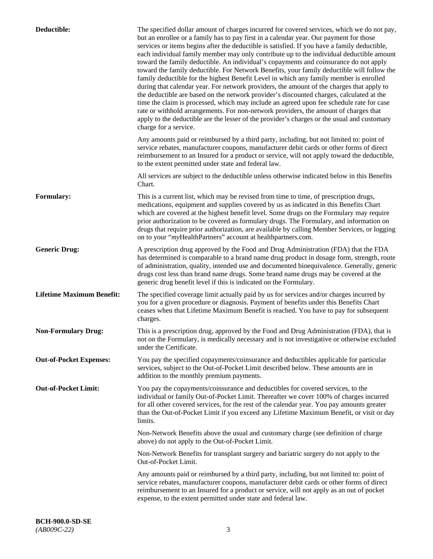| Deductible:                      | The specified dollar amount of charges incurred for covered services, which we do not pay,<br>but an enrollee or a family has to pay first in a calendar year. Our payment for those<br>services or items begins after the deductible is satisfied. If you have a family deductible,<br>each individual family member may only contribute up to the individual deductible amount<br>toward the family deductible. An individual's copayments and coinsurance do not apply<br>toward the family deductible. For Network Benefits, your family deductible will follow the<br>family deductible for the highest Benefit Level in which any family member is enrolled<br>during that calendar year. For network providers, the amount of the charges that apply to<br>the deductible are based on the network provider's discounted charges, calculated at the<br>time the claim is processed, which may include an agreed upon fee schedule rate for case<br>rate or withhold arrangements. For non-network providers, the amount of charges that<br>apply to the deductible are the lesser of the provider's charges or the usual and customary<br>charge for a service. |
|----------------------------------|------------------------------------------------------------------------------------------------------------------------------------------------------------------------------------------------------------------------------------------------------------------------------------------------------------------------------------------------------------------------------------------------------------------------------------------------------------------------------------------------------------------------------------------------------------------------------------------------------------------------------------------------------------------------------------------------------------------------------------------------------------------------------------------------------------------------------------------------------------------------------------------------------------------------------------------------------------------------------------------------------------------------------------------------------------------------------------------------------------------------------------------------------------------------|
|                                  | Any amounts paid or reimbursed by a third party, including, but not limited to: point of<br>service rebates, manufacturer coupons, manufacturer debit cards or other forms of direct<br>reimbursement to an Insured for a product or service, will not apply toward the deductible,<br>to the extent permitted under state and federal law.                                                                                                                                                                                                                                                                                                                                                                                                                                                                                                                                                                                                                                                                                                                                                                                                                            |
|                                  | All services are subject to the deductible unless otherwise indicated below in this Benefits<br>Chart.                                                                                                                                                                                                                                                                                                                                                                                                                                                                                                                                                                                                                                                                                                                                                                                                                                                                                                                                                                                                                                                                 |
| <b>Formulary:</b>                | This is a current list, which may be revised from time to time, of prescription drugs,<br>medications, equipment and supplies covered by us as indicated in this Benefits Chart<br>which are covered at the highest benefit level. Some drugs on the Formulary may require<br>prior authorization to be covered as formulary drugs. The Formulary, and information on<br>drugs that require prior authorization, are available by calling Member Services, or logging<br>on to your "myHealthPartners" account at healthpartners.com.                                                                                                                                                                                                                                                                                                                                                                                                                                                                                                                                                                                                                                  |
| <b>Generic Drug:</b>             | A prescription drug approved by the Food and Drug Administration (FDA) that the FDA<br>has determined is comparable to a brand name drug product in dosage form, strength, route<br>of administration, quality, intended use and documented bioequivalence. Generally, generic<br>drugs cost less than brand name drugs. Some brand name drugs may be covered at the<br>generic drug benefit level if this is indicated on the Formulary.                                                                                                                                                                                                                                                                                                                                                                                                                                                                                                                                                                                                                                                                                                                              |
| <b>Lifetime Maximum Benefit:</b> | The specified coverage limit actually paid by us for services and/or charges incurred by<br>you for a given procedure or diagnosis. Payment of benefits under this Benefits Chart<br>ceases when that Lifetime Maximum Benefit is reached. You have to pay for subsequent<br>charges.                                                                                                                                                                                                                                                                                                                                                                                                                                                                                                                                                                                                                                                                                                                                                                                                                                                                                  |
| <b>Non-Formulary Drug:</b>       | This is a prescription drug, approved by the Food and Drug Administration (FDA), that is<br>not on the Formulary, is medically necessary and is not investigative or otherwise excluded<br>under the Certificate.                                                                                                                                                                                                                                                                                                                                                                                                                                                                                                                                                                                                                                                                                                                                                                                                                                                                                                                                                      |
| <b>Out-of-Pocket Expenses:</b>   | You pay the specified copayments/coinsurance and deductibles applicable for particular<br>services, subject to the Out-of-Pocket Limit described below. These amounts are in<br>addition to the monthly premium payments.                                                                                                                                                                                                                                                                                                                                                                                                                                                                                                                                                                                                                                                                                                                                                                                                                                                                                                                                              |
| <b>Out-of-Pocket Limit:</b>      | You pay the copayments/coinsurance and deductibles for covered services, to the<br>individual or family Out-of-Pocket Limit. Thereafter we cover 100% of charges incurred<br>for all other covered services, for the rest of the calendar year. You pay amounts greater<br>than the Out-of-Pocket Limit if you exceed any Lifetime Maximum Benefit, or visit or day<br>limits.                                                                                                                                                                                                                                                                                                                                                                                                                                                                                                                                                                                                                                                                                                                                                                                         |
|                                  | Non-Network Benefits above the usual and customary charge (see definition of charge<br>above) do not apply to the Out-of-Pocket Limit.                                                                                                                                                                                                                                                                                                                                                                                                                                                                                                                                                                                                                                                                                                                                                                                                                                                                                                                                                                                                                                 |
|                                  | Non-Network Benefits for transplant surgery and bariatric surgery do not apply to the<br>Out-of-Pocket Limit.                                                                                                                                                                                                                                                                                                                                                                                                                                                                                                                                                                                                                                                                                                                                                                                                                                                                                                                                                                                                                                                          |
|                                  | Any amounts paid or reimbursed by a third party, including, but not limited to: point of<br>service rebates, manufacturer coupons, manufacturer debit cards or other forms of direct<br>reimbursement to an Insured for a product or service, will not apply as an out of pocket<br>expense, to the extent permitted under state and federal law.                                                                                                                                                                                                                                                                                                                                                                                                                                                                                                                                                                                                                                                                                                                                                                                                                      |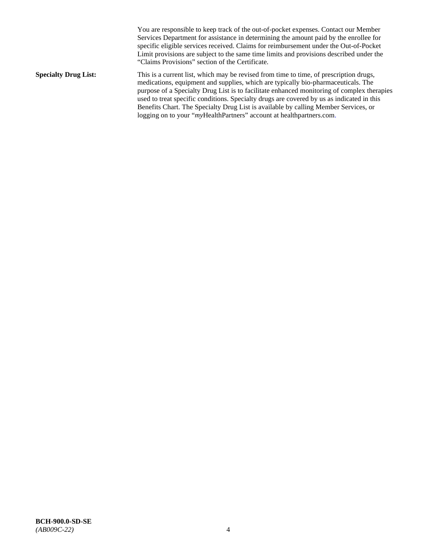You are responsible to keep track of the out-of-pocket expenses. Contact our Member Services Department for assistance in determining the amount paid by the enrollee for specific eligible services received. Claims for reimbursement under the Out-of-Pocket Limit provisions are subject to the same time limits and provisions described under the "Claims Provisions" section of the Certificate. **Specialty Drug List:** This is a current list, which may be revised from time to time, of prescription drugs, medications, equipment and supplies, which are typically bio-pharmaceuticals. The purpose of a Specialty Drug List is to facilitate enhanced monitoring of complex therapies used to treat specific conditions. Specialty drugs are covered by us as indicated in this Benefits Chart. The Specialty Drug List is available by calling Member Services, or logging on to your "*my*HealthPartners" account at [healthpartners.com.](http://healthpartners.com/)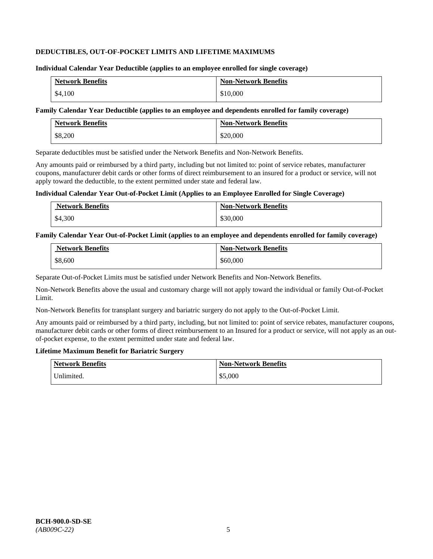### **DEDUCTIBLES, OUT-OF-POCKET LIMITS AND LIFETIME MAXIMUMS**

#### **Individual Calendar Year Deductible (applies to an employee enrolled for single coverage)**

| <b>Network Benefits</b> | <b>Non-Network Benefits</b> |
|-------------------------|-----------------------------|
| \$4,100                 | \$10,000                    |

#### **Family Calendar Year Deductible (applies to an employee and dependents enrolled for family coverage)**

| <b>Network Benefits</b> | <b>Non-Network Benefits</b> |
|-------------------------|-----------------------------|
| \$8,200                 | \$20,000                    |

Separate deductibles must be satisfied under the Network Benefits and Non-Network Benefits.

Any amounts paid or reimbursed by a third party, including but not limited to: point of service rebates, manufacturer coupons, manufacturer debit cards or other forms of direct reimbursement to an insured for a product or service, will not apply toward the deductible, to the extent permitted under state and federal law.

#### **Individual Calendar Year Out-of-Pocket Limit (Applies to an Employee Enrolled for Single Coverage)**

| <b>Network Benefits</b> | <b>Non-Network Benefits</b> |
|-------------------------|-----------------------------|
| \$4,300                 | \$30,000                    |

#### **Family Calendar Year Out-of-Pocket Limit (applies to an employee and dependents enrolled for family coverage)**

| <b>Network Benefits</b> | <b>Non-Network Benefits</b> |
|-------------------------|-----------------------------|
| \$8,600                 | \$60,000                    |

Separate Out-of-Pocket Limits must be satisfied under Network Benefits and Non-Network Benefits.

Non-Network Benefits above the usual and customary charge will not apply toward the individual or family Out-of-Pocket Limit.

Non-Network Benefits for transplant surgery and bariatric surgery do not apply to the Out-of-Pocket Limit.

Any amounts paid or reimbursed by a third party, including, but not limited to: point of service rebates, manufacturer coupons, manufacturer debit cards or other forms of direct reimbursement to an Insured for a product or service, will not apply as an outof-pocket expense, to the extent permitted under state and federal law.

#### **Lifetime Maximum Benefit for Bariatric Surgery**

| <b>Network Benefits</b> | <b>Non-Network Benefits</b> |
|-------------------------|-----------------------------|
| Unlimited.              | \$5,000                     |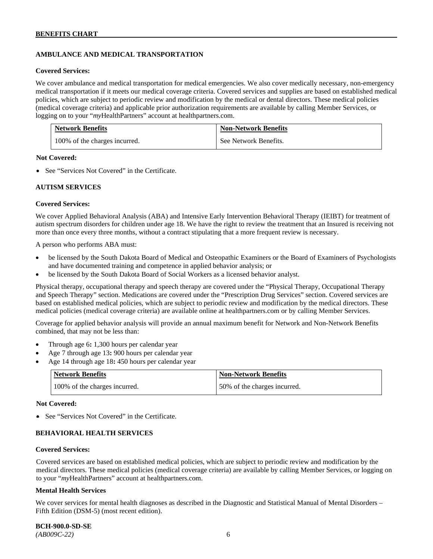# **AMBULANCE AND MEDICAL TRANSPORTATION**

#### **Covered Services:**

We cover ambulance and medical transportation for medical emergencies. We also cover medically necessary, non-emergency medical transportation if it meets our medical coverage criteria. Covered services and supplies are based on established medical policies, which are subject to periodic review and modification by the medical or dental directors. These medical policies (medical coverage criteria) and applicable prior authorization requirements are available by calling Member Services, or logging on to your "*my*HealthPartners" account at [healthpartners.com.](http://healthpartners.com/)

| <b>Network Benefits</b>       | <b>Non-Network Benefits</b> |
|-------------------------------|-----------------------------|
| 100% of the charges incurred. | See Network Benefits.       |

#### **Not Covered:**

• See "Services Not Covered" in the Certificate.

#### **AUTISM SERVICES**

#### **Covered Services:**

We cover Applied Behavioral Analysis (ABA) and Intensive Early Intervention Behavioral Therapy (IEIBT) for treatment of autism spectrum disorders for children under age 18. We have the right to review the treatment that an Insured is receiving not more than once every three months, without a contract stipulating that a more frequent review is necessary.

A person who performs ABA must:

- be licensed by the South Dakota Board of Medical and Osteopathic Examiners or the Board of Examiners of Psychologists and have documented training and competence in applied behavior analysis; or
- be licensed by the South Dakota Board of Social Workers as a licensed behavior analyst.

Physical therapy, occupational therapy and speech therapy are covered under the "Physical Therapy, Occupational Therapy and Speech Therapy" section. Medications are covered under the "Prescription Drug Services" section. Covered services are based on established medical policies, which are subject to periodic review and modification by the medical directors. These medical policies (medical coverage criteria) are available online at [healthpartners.com](http://healthpartners.com/) or by calling Member Services.

Coverage for applied behavior analysis will provide an annual maximum benefit for Network and Non-Network Benefits combined, that may not be less than:

- Through age 6**:** 1,300 hours per calendar year
- Age 7 through age 13**:** 900 hours per calendar year
- Age 14 through age 18**:** 450 hours per calendar year

| <b>Network Benefits</b>       | <b>Non-Network Benefits</b>  |
|-------------------------------|------------------------------|
| 100% of the charges incurred. | 50% of the charges incurred. |

#### **Not Covered:**

• See "Services Not Covered" in the Certificate.

### **BEHAVIORAL HEALTH SERVICES**

#### **Covered Services:**

Covered services are based on established medical policies, which are subject to periodic review and modification by the medical directors. These medical policies (medical coverage criteria) are available by calling Member Services, or logging on to your "*my*HealthPartners" account at [healthpartners.com.](http://healthpartners.com/)

#### **Mental Health Services**

We cover services for mental health diagnoses as described in the Diagnostic and Statistical Manual of Mental Disorders – Fifth Edition (DSM-5) (most recent edition).

**BCH-900.0-SD-SE**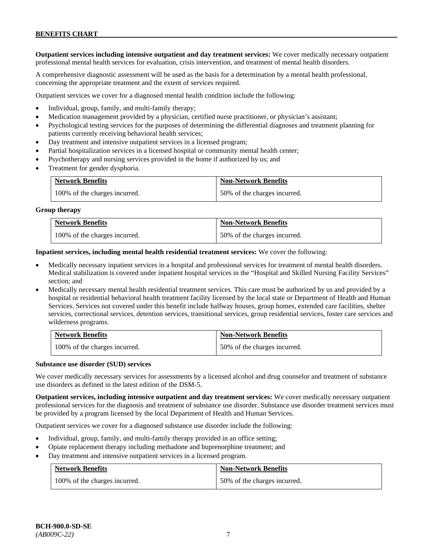**Outpatient services including intensive outpatient and day treatment services:** We cover medically necessary outpatient professional mental health services for evaluation, crisis intervention, and treatment of mental health disorders.

A comprehensive diagnostic assessment will be used as the basis for a determination by a mental health professional, concerning the appropriate treatment and the extent of services required.

Outpatient services we cover for a diagnosed mental health condition include the following:

- Individual, group, family, and multi-family therapy;
- Medication management provided by a physician, certified nurse practitioner, or physician's assistant;
- Psychological testing services for the purposes of determining the differential diagnoses and treatment planning for patients currently receiving behavioral health services;
- Day treatment and intensive outpatient services in a licensed program;
- Partial hospitalization services in a licensed hospital or community mental health center;
- Psychotherapy and nursing services provided in the home if authorized by us; and
- Treatment for gender dysphoria.

| <b>Network Benefits</b>       | <b>Non-Network Benefits</b>  |
|-------------------------------|------------------------------|
| 100% of the charges incurred. | 50% of the charges incurred. |

#### **Group therapy**

| <b>Network Benefits</b>       | <b>Non-Network Benefits</b>  |
|-------------------------------|------------------------------|
| 100% of the charges incurred. | 50% of the charges incurred. |

**Inpatient services, including mental health residential treatment services:** We cover the following:

- Medically necessary inpatient services in a hospital and professional services for treatment of mental health disorders. Medical stabilization is covered under inpatient hospital services in the "Hospital and Skilled Nursing Facility Services" section; and
- Medically necessary mental health residential treatment services. This care must be authorized by us and provided by a hospital or residential behavioral health treatment facility licensed by the local state or Department of Health and Human Services. Services not covered under this benefit include halfway houses, group homes, extended care facilities, shelter services, correctional services, detention services, transitional services, group residential services, foster care services and wilderness programs.

| <b>Network Benefits</b>       | <b>Non-Network Benefits</b>  |
|-------------------------------|------------------------------|
| 100% of the charges incurred. | 50% of the charges incurred. |

#### **Substance use disorder (SUD) services**

We cover medically necessary services for assessments by a licensed alcohol and drug counselor and treatment of substance use disorders as defined in the latest edition of the DSM-5.

**Outpatient services, including intensive outpatient and day treatment services:** We cover medically necessary outpatient professional services for the diagnosis and treatment of substance use disorder. Substance use disorder treatment services must be provided by a program licensed by the local Department of Health and Human Services.

Outpatient services we cover for a diagnosed substance use disorder include the following:

- Individual, group, family, and multi-family therapy provided in an office setting;
- Opiate replacement therapy including methadone and buprenorphine treatment; and
- Day treatment and intensive outpatient services in a licensed program.

| <b>Network Benefits</b>       | <b>Non-Network Benefits</b>  |
|-------------------------------|------------------------------|
| 100% of the charges incurred. | 50% of the charges incurred. |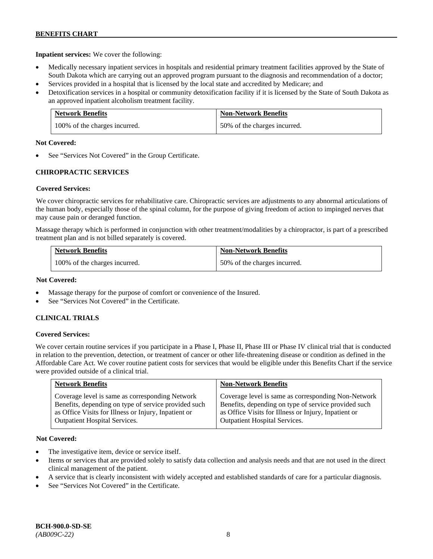**Inpatient services:** We cover the following:

- Medically necessary inpatient services in hospitals and residential primary treatment facilities approved by the State of South Dakota which are carrying out an approved program pursuant to the diagnosis and recommendation of a doctor;
- Services provided in a hospital that is licensed by the local state and accredited by Medicare; and
- Detoxification services in a hospital or community detoxification facility if it is licensed by the State of South Dakota as an approved inpatient alcoholism treatment facility.

| <b>Network Benefits</b>       | <b>Non-Network Benefits</b>  |
|-------------------------------|------------------------------|
| 100% of the charges incurred. | 50% of the charges incurred. |

#### **Not Covered:**

See "Services Not Covered" in the Group Certificate.

# **CHIROPRACTIC SERVICES**

### **Covered Services:**

We cover chiropractic services for rehabilitative care. Chiropractic services are adjustments to any abnormal articulations of the human body, especially those of the spinal column, for the purpose of giving freedom of action to impinged nerves that may cause pain or deranged function.

Massage therapy which is performed in conjunction with other treatment/modalities by a chiropractor, is part of a prescribed treatment plan and is not billed separately is covered.

| <b>Network Benefits</b>       | <b>Non-Network Benefits</b>  |
|-------------------------------|------------------------------|
| 100% of the charges incurred. | 50% of the charges incurred. |

### **Not Covered:**

- Massage therapy for the purpose of comfort or convenience of the Insured.
- See "Services Not Covered" in the Certificate.

### **CLINICAL TRIALS**

### **Covered Services:**

We cover certain routine services if you participate in a Phase I, Phase II, Phase III or Phase IV clinical trial that is conducted in relation to the prevention, detection, or treatment of cancer or other life-threatening disease or condition as defined in the Affordable Care Act. We cover routine patient costs for services that would be eligible under this Benefits Chart if the service were provided outside of a clinical trial.

| <b>Network Benefits</b>                              | <b>Non-Network Benefits</b>                          |
|------------------------------------------------------|------------------------------------------------------|
| Coverage level is same as corresponding Network      | Coverage level is same as corresponding Non-Network  |
| Benefits, depending on type of service provided such | Benefits, depending on type of service provided such |
| as Office Visits for Illness or Injury, Inpatient or | as Office Visits for Illness or Injury, Inpatient or |
| <b>Outpatient Hospital Services.</b>                 | Outpatient Hospital Services.                        |

### **Not Covered:**

- The investigative item, device or service itself.
- Items or services that are provided solely to satisfy data collection and analysis needs and that are not used in the direct clinical management of the patient.
- A service that is clearly inconsistent with widely accepted and established standards of care for a particular diagnosis.
- See "Services Not Covered" in the Certificate.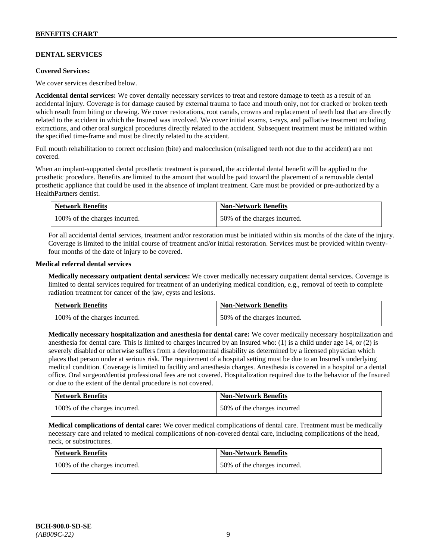# **DENTAL SERVICES**

#### **Covered Services:**

We cover services described below.

**Accidental dental services:** We cover dentally necessary services to treat and restore damage to teeth as a result of an accidental injury. Coverage is for damage caused by external trauma to face and mouth only, not for cracked or broken teeth which result from biting or chewing. We cover restorations, root canals, crowns and replacement of teeth lost that are directly related to the accident in which the Insured was involved. We cover initial exams, x-rays, and palliative treatment including extractions, and other oral surgical procedures directly related to the accident. Subsequent treatment must be initiated within the specified time-frame and must be directly related to the accident.

Full mouth rehabilitation to correct occlusion (bite) and malocclusion (misaligned teeth not due to the accident) are not covered.

When an implant-supported dental prosthetic treatment is pursued, the accidental dental benefit will be applied to the prosthetic procedure. Benefits are limited to the amount that would be paid toward the placement of a removable dental prosthetic appliance that could be used in the absence of implant treatment. Care must be provided or pre-authorized by a HealthPartners dentist.

| <b>Network Benefits</b>       | <b>Non-Network Benefits</b>  |
|-------------------------------|------------------------------|
| 100% of the charges incurred. | 50% of the charges incurred. |

For all accidental dental services, treatment and/or restoration must be initiated within six months of the date of the injury. Coverage is limited to the initial course of treatment and/or initial restoration. Services must be provided within twentyfour months of the date of injury to be covered.

#### **Medical referral dental services**

**Medically necessary outpatient dental services:** We cover medically necessary outpatient dental services. Coverage is limited to dental services required for treatment of an underlying medical condition, e.g., removal of teeth to complete radiation treatment for cancer of the jaw, cysts and lesions.

| <b>Network Benefits</b>       | <b>Non-Network Benefits</b>  |
|-------------------------------|------------------------------|
| 100% of the charges incurred. | 50% of the charges incurred. |

**Medically necessary hospitalization and anesthesia for dental care:** We cover medically necessary hospitalization and anesthesia for dental care. This is limited to charges incurred by an Insured who: (1) is a child under age 14, or (2) is severely disabled or otherwise suffers from a developmental disability as determined by a licensed physician which places that person under at serious risk. The requirement of a hospital setting must be due to an Insured's underlying medical condition. Coverage is limited to facility and anesthesia charges. Anesthesia is covered in a hospital or a dental office. Oral surgeon/dentist professional fees are not covered. Hospitalization required due to the behavior of the Insured or due to the extent of the dental procedure is not covered.

| <b>Network Benefits</b>       | <b>Non-Network Benefits</b> |
|-------------------------------|-----------------------------|
| 100% of the charges incurred. | 50% of the charges incurred |

**Medical complications of dental care:** We cover medical complications of dental care. Treatment must be medically necessary care and related to medical complications of non-covered dental care, including complications of the head, neck, or substructures.

| <b>Network Benefits</b>       | <b>Non-Network Benefits</b>  |
|-------------------------------|------------------------------|
| 100% of the charges incurred. | 50% of the charges incurred. |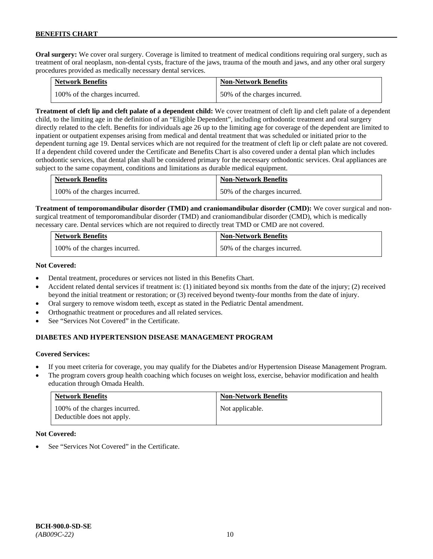**Oral surgery:** We cover oral surgery. Coverage is limited to treatment of medical conditions requiring oral surgery, such as treatment of oral neoplasm, non-dental cysts, fracture of the jaws, trauma of the mouth and jaws, and any other oral surgery procedures provided as medically necessary dental services.

| <b>Network Benefits</b>       | <b>Non-Network Benefits</b>  |
|-------------------------------|------------------------------|
| 100% of the charges incurred. | 50% of the charges incurred. |

**Treatment of cleft lip and cleft palate of a dependent child:** We cover treatment of cleft lip and cleft palate of a dependent child, to the limiting age in the definition of an "Eligible Dependent", including orthodontic treatment and oral surgery directly related to the cleft. Benefits for individuals age 26 up to the limiting age for coverage of the dependent are limited to inpatient or outpatient expenses arising from medical and dental treatment that was scheduled or initiated prior to the dependent turning age 19. Dental services which are not required for the treatment of cleft lip or cleft palate are not covered. If a dependent child covered under the Certificate and Benefits Chart is also covered under a dental plan which includes orthodontic services, that dental plan shall be considered primary for the necessary orthodontic services. Oral appliances are subject to the same copayment, conditions and limitations as durable medical equipment.

| <b>Network Benefits</b>       | <b>Non-Network Benefits</b>  |
|-------------------------------|------------------------------|
| 100% of the charges incurred. | 50% of the charges incurred. |

**Treatment of temporomandibular disorder (TMD) and craniomandibular disorder (CMD):** We cover surgical and nonsurgical treatment of temporomandibular disorder (TMD) and craniomandibular disorder (CMD), which is medically necessary care. Dental services which are not required to directly treat TMD or CMD are not covered.

| <b>Network Benefits</b>       | <b>Non-Network Benefits</b>  |
|-------------------------------|------------------------------|
| 100% of the charges incurred. | 50% of the charges incurred. |

#### **Not Covered:**

- Dental treatment, procedures or services not listed in this Benefits Chart.
- Accident related dental services if treatment is: (1) initiated beyond six months from the date of the injury; (2) received beyond the initial treatment or restoration; or (3) received beyond twenty-four months from the date of injury.
- Oral surgery to remove wisdom teeth, except as stated in the Pediatric Dental amendment.
- Orthognathic treatment or procedures and all related services.
- See "Services Not Covered" in the Certificate.

# **DIABETES AND HYPERTENSION DISEASE MANAGEMENT PROGRAM**

### **Covered Services:**

- If you meet criteria for coverage, you may qualify for the Diabetes and/or Hypertension Disease Management Program.
- The program covers group health coaching which focuses on weight loss, exercise, behavior modification and health education through Omada Health.

| <b>Network Benefits</b>                                     | <b>Non-Network Benefits</b> |
|-------------------------------------------------------------|-----------------------------|
| 100% of the charges incurred.<br>Deductible does not apply. | Not applicable.             |

### **Not Covered:**

See "Services Not Covered" in the Certificate.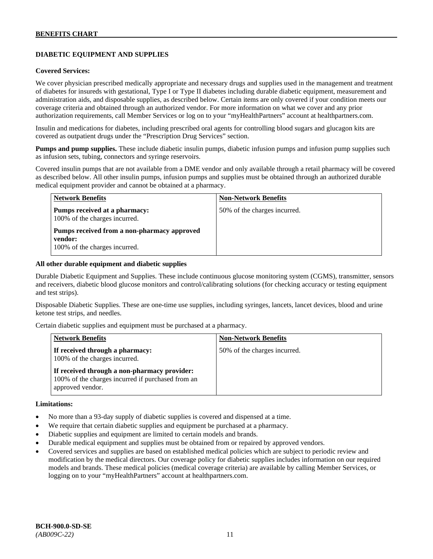# **DIABETIC EQUIPMENT AND SUPPLIES**

#### **Covered Services:**

We cover physician prescribed medically appropriate and necessary drugs and supplies used in the management and treatment of diabetes for insureds with gestational, Type I or Type II diabetes including durable diabetic equipment, measurement and administration aids, and disposable supplies, as described below. Certain items are only covered if your condition meets our coverage criteria and obtained through an authorized vendor. For more information on what we cover and any prior authorization requirements, call Member Services or log on to your "myHealthPartners" account at [healthpartners.com.](http://www.healthpartners.com/)

Insulin and medications for diabetes, including prescribed oral agents for controlling blood sugars and glucagon kits are covered as outpatient drugs under the "Prescription Drug Services" section.

**Pumps and pump supplies.** These include diabetic insulin pumps, diabetic infusion pumps and infusion pump supplies such as infusion sets, tubing, connectors and syringe reservoirs.

Covered insulin pumps that are not available from a DME vendor and only available through a retail pharmacy will be covered as described below. All other insulin pumps, infusion pumps and supplies must be obtained through an authorized durable medical equipment provider and cannot be obtained at a pharmacy.

| <b>Network Benefits</b>                                                                 | <b>Non-Network Benefits</b>  |
|-----------------------------------------------------------------------------------------|------------------------------|
| Pumps received at a pharmacy:<br>100% of the charges incurred.                          | 50% of the charges incurred. |
| Pumps received from a non-pharmacy approved<br>vendor:<br>100% of the charges incurred. |                              |

#### **All other durable equipment and diabetic supplies**

Durable Diabetic Equipment and Supplies. These include continuous glucose monitoring system (CGMS), transmitter, sensors and receivers, diabetic blood glucose monitors and control/calibrating solutions (for checking accuracy or testing equipment and test strips).

Disposable Diabetic Supplies. These are one-time use supplies, including syringes, lancets, lancet devices, blood and urine ketone test strips, and needles.

Certain diabetic supplies and equipment must be purchased at a pharmacy.

| <b>Network Benefits</b>                                                                                               | <b>Non-Network Benefits</b>  |
|-----------------------------------------------------------------------------------------------------------------------|------------------------------|
| If received through a pharmacy:<br>100% of the charges incurred.                                                      | 50% of the charges incurred. |
| If received through a non-pharmacy provider:<br>100% of the charges incurred if purchased from an<br>approved vendor. |                              |

#### **Limitations:**

- No more than a 93-day supply of diabetic supplies is covered and dispensed at a time.
- We require that certain diabetic supplies and equipment be purchased at a pharmacy.
- Diabetic supplies and equipment are limited to certain models and brands.
- Durable medical equipment and supplies must be obtained from or repaired by approved vendors.
- Covered services and supplies are based on established medical policies which are subject to periodic review and modification by the medical directors. Our coverage policy for diabetic supplies includes information on our required models and brands. These medical policies (medical coverage criteria) are available by calling Member Services, or logging on to your "myHealthPartners" account at [healthpartners.com.](http://www.healthpartners.com/)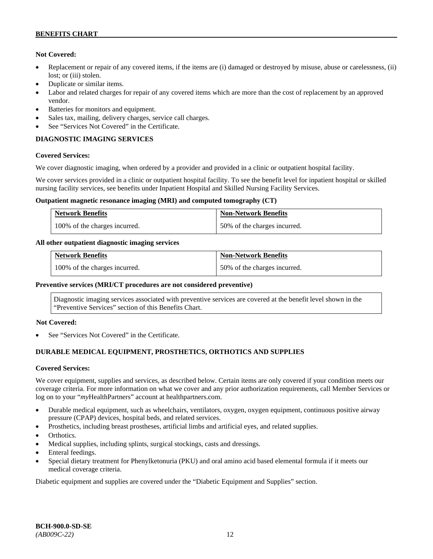### **Not Covered:**

- Replacement or repair of any covered items, if the items are (i) damaged or destroyed by misuse, abuse or carelessness, (ii) lost; or (iii) stolen.
- Duplicate or similar items.
- Labor and related charges for repair of any covered items which are more than the cost of replacement by an approved vendor.
- Batteries for monitors and equipment.
- Sales tax, mailing, delivery charges, service call charges.
- See "Services Not Covered" in the Certificate.

# **DIAGNOSTIC IMAGING SERVICES**

### **Covered Services:**

We cover diagnostic imaging, when ordered by a provider and provided in a clinic or outpatient hospital facility.

We cover services provided in a clinic or outpatient hospital facility. To see the benefit level for inpatient hospital or skilled nursing facility services, see benefits under Inpatient Hospital and Skilled Nursing Facility Services.

#### **Outpatient magnetic resonance imaging (MRI) and computed tomography (CT)**

| <b>Network Benefits</b>       | <b>Non-Network Benefits</b>  |
|-------------------------------|------------------------------|
| 100% of the charges incurred. | 50% of the charges incurred. |

### **All other outpatient diagnostic imaging services**

| <b>Network Benefits</b>       | <b>Non-Network Benefits</b>  |
|-------------------------------|------------------------------|
| 100% of the charges incurred. | 50% of the charges incurred. |

### **Preventive services (MRI/CT procedures are not considered preventive)**

Diagnostic imaging services associated with preventive services are covered at the benefit level shown in the "Preventive Services" section of this Benefits Chart.

### **Not Covered:**

See "Services Not Covered" in the Certificate.

# **DURABLE MEDICAL EQUIPMENT, PROSTHETICS, ORTHOTICS AND SUPPLIES**

### **Covered Services:**

We cover equipment, supplies and services, as described below. Certain items are only covered if your condition meets our coverage criteria. For more information on what we cover and any prior authorization requirements, call Member Services or log on to your "*my*HealthPartners" account at [healthpartners.com.](http://healthpartners.com/)

- Durable medical equipment, such as wheelchairs, ventilators, oxygen, oxygen equipment, continuous positive airway pressure (CPAP) devices, hospital beds, and related services.
- Prosthetics, including breast prostheses, artificial limbs and artificial eyes, and related supplies.
- Orthotics.
- Medical supplies, including splints, surgical stockings, casts and dressings.
- Enteral feedings.
- Special dietary treatment for Phenylketonuria (PKU) and oral amino acid based elemental formula if it meets our medical coverage criteria.

Diabetic equipment and supplies are covered under the "Diabetic Equipment and Supplies" section.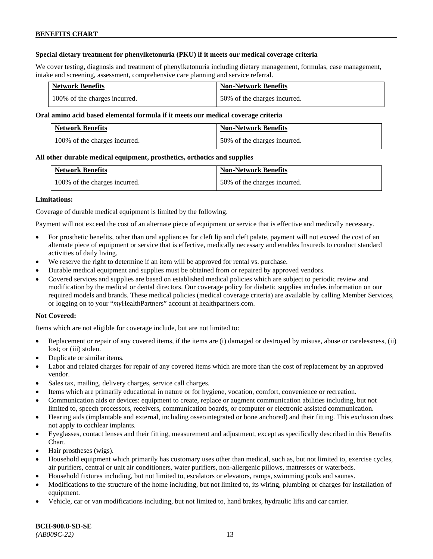### **Special dietary treatment for phenylketonuria (PKU) if it meets our medical coverage criteria**

We cover testing, diagnosis and treatment of phenylketonuria including dietary management, formulas, case management, intake and screening, assessment, comprehensive care planning and service referral.

| <b>Network Benefits</b>       | <b>Non-Network Benefits</b>  |
|-------------------------------|------------------------------|
| 100% of the charges incurred. | 50% of the charges incurred. |

### **Oral amino acid based elemental formula if it meets our medical coverage criteria**

| <b>Network Benefits</b>       | <b>Non-Network Benefits</b>  |
|-------------------------------|------------------------------|
| 100% of the charges incurred. | 50% of the charges incurred. |

#### **All other durable medical equipment, prosthetics, orthotics and supplies**

| <b>Network Benefits</b>       | <b>Non-Network Benefits</b>  |
|-------------------------------|------------------------------|
| 100% of the charges incurred. | 50% of the charges incurred. |

#### **Limitations:**

Coverage of durable medical equipment is limited by the following.

Payment will not exceed the cost of an alternate piece of equipment or service that is effective and medically necessary.

- For prosthetic benefits, other than oral appliances for cleft lip and cleft palate, payment will not exceed the cost of an alternate piece of equipment or service that is effective, medically necessary and enables Insureds to conduct standard activities of daily living.
- We reserve the right to determine if an item will be approved for rental vs. purchase.
- Durable medical equipment and supplies must be obtained from or repaired by approved vendors.
- Covered services and supplies are based on established medical policies which are subject to periodic review and modification by the medical or dental directors. Our coverage policy for diabetic supplies includes information on our required models and brands. These medical policies (medical coverage criteria) are available by calling Member Services, or logging on to your "*my*HealthPartners" account at [healthpartners.com.](http://www.healthpartners.com/)

### **Not Covered:**

Items which are not eligible for coverage include, but are not limited to:

- Replacement or repair of any covered items, if the items are (i) damaged or destroyed by misuse, abuse or carelessness, (ii) lost; or (iii) stolen.
- Duplicate or similar items.
- Labor and related charges for repair of any covered items which are more than the cost of replacement by an approved vendor.
- Sales tax, mailing, delivery charges, service call charges.
- Items which are primarily educational in nature or for hygiene, vocation, comfort, convenience or recreation.
- Communication aids or devices: equipment to create, replace or augment communication abilities including, but not limited to, speech processors, receivers, communication boards, or computer or electronic assisted communication.
- Hearing aids (implantable and external, including osseointegrated or bone anchored) and their fitting. This exclusion does not apply to cochlear implants.
- Eyeglasses, contact lenses and their fitting, measurement and adjustment, except as specifically described in this Benefits Chart.
- Hair prostheses (wigs).
- Household equipment which primarily has customary uses other than medical, such as, but not limited to, exercise cycles, air purifiers, central or unit air conditioners, water purifiers, non-allergenic pillows, mattresses or waterbeds.
- Household fixtures including, but not limited to, escalators or elevators, ramps, swimming pools and saunas.
- Modifications to the structure of the home including, but not limited to, its wiring, plumbing or charges for installation of equipment.
- Vehicle, car or van modifications including, but not limited to, hand brakes, hydraulic lifts and car carrier.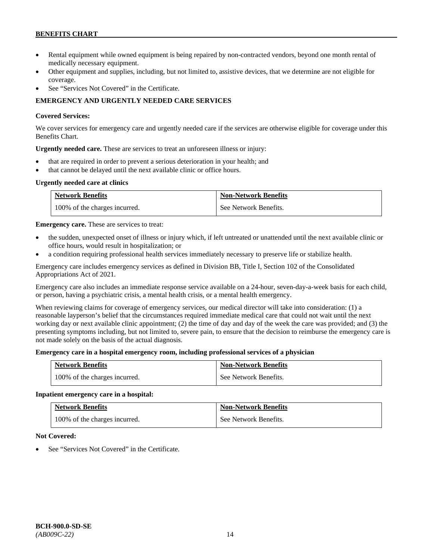- Rental equipment while owned equipment is being repaired by non-contracted vendors, beyond one month rental of medically necessary equipment.
- Other equipment and supplies, including, but not limited to, assistive devices, that we determine are not eligible for coverage.
- See "Services Not Covered" in the Certificate.

# **EMERGENCY AND URGENTLY NEEDED CARE SERVICES**

### **Covered Services:**

We cover services for emergency care and urgently needed care if the services are otherwise eligible for coverage under this Benefits Chart.

**Urgently needed care.** These are services to treat an unforeseen illness or injury:

- that are required in order to prevent a serious deterioration in your health; and
- that cannot be delayed until the next available clinic or office hours.

### **Urgently needed care at clinics**

| <b>Network Benefits</b>       | <b>Non-Network Benefits</b> |
|-------------------------------|-----------------------------|
| 100% of the charges incurred. | See Network Benefits.       |

**Emergency care.** These are services to treat:

- the sudden, unexpected onset of illness or injury which, if left untreated or unattended until the next available clinic or office hours, would result in hospitalization; or
- a condition requiring professional health services immediately necessary to preserve life or stabilize health.

Emergency care includes emergency services as defined in Division BB, Title I, Section 102 of the Consolidated Appropriations Act of 2021.

Emergency care also includes an immediate response service available on a 24-hour, seven-day-a-week basis for each child, or person, having a psychiatric crisis, a mental health crisis, or a mental health emergency.

When reviewing claims for coverage of emergency services, our medical director will take into consideration: (1) a reasonable layperson's belief that the circumstances required immediate medical care that could not wait until the next working day or next available clinic appointment; (2) the time of day and day of the week the care was provided; and (3) the presenting symptoms including, but not limited to, severe pain, to ensure that the decision to reimburse the emergency care is not made solely on the basis of the actual diagnosis.

### **Emergency care in a hospital emergency room, including professional services of a physician**

| <b>Network Benefits</b>       | <b>Non-Network Benefits</b> |
|-------------------------------|-----------------------------|
| 100% of the charges incurred. | See Network Benefits.       |

### **Inpatient emergency care in a hospital:**

| <b>Network Benefits</b>       | <b>Non-Network Benefits</b> |
|-------------------------------|-----------------------------|
| 100% of the charges incurred. | See Network Benefits.       |

### **Not Covered:**

See "Services Not Covered" in the Certificate.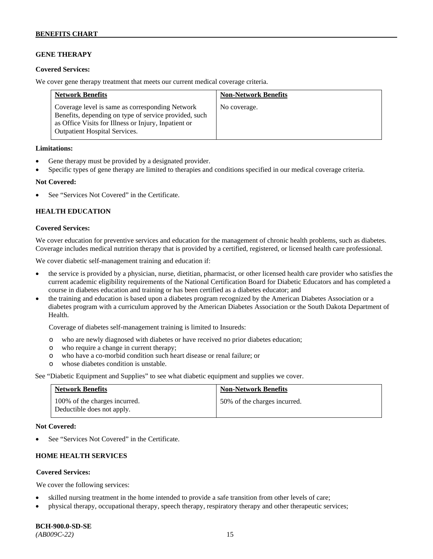## **GENE THERAPY**

#### **Covered Services:**

We cover gene therapy treatment that meets our current medical coverage criteria.

| <b>Network Benefits</b>                                                                                                                                                                                  | <b>Non-Network Benefits</b> |
|----------------------------------------------------------------------------------------------------------------------------------------------------------------------------------------------------------|-----------------------------|
| Coverage level is same as corresponding Network<br>Benefits, depending on type of service provided, such<br>as Office Visits for Illness or Injury, Inpatient or<br><b>Outpatient Hospital Services.</b> | No coverage.                |

#### **Limitations:**

- Gene therapy must be provided by a designated provider.
- Specific types of gene therapy are limited to therapies and conditions specified in our medical coverage criteria.

#### **Not Covered:**

See "Services Not Covered" in the Certificate.

### **HEALTH EDUCATION**

#### **Covered Services:**

We cover education for preventive services and education for the management of chronic health problems, such as diabetes. Coverage includes medical nutrition therapy that is provided by a certified, registered, or licensed health care professional.

We cover diabetic self-management training and education if:

- the service is provided by a physician, nurse, dietitian, pharmacist, or other licensed health care provider who satisfies the current academic eligibility requirements of the National Certification Board for Diabetic Educators and has completed a course in diabetes education and training or has been certified as a diabetes educator; and
- the training and education is based upon a diabetes program recognized by the American Diabetes Association or a diabetes program with a curriculum approved by the American Diabetes Association or the South Dakota Department of Health.

Coverage of diabetes self-management training is limited to Insureds:

- o who are newly diagnosed with diabetes or have received no prior diabetes education;
- o who require a change in current therapy;<br>o who have a co-morbid condition such heal
- who have a co-morbid condition such heart disease or renal failure; or
- o whose diabetes condition is unstable.

See "Diabetic Equipment and Supplies" to see what diabetic equipment and supplies we cover.

| <b>Network Benefits</b>                                     | <b>Non-Network Benefits</b>  |
|-------------------------------------------------------------|------------------------------|
| 100% of the charges incurred.<br>Deductible does not apply. | 50% of the charges incurred. |

#### **Not Covered:**

See "Services Not Covered" in the Certificate.

## **HOME HEALTH SERVICES**

### **Covered Services:**

We cover the following services:

- skilled nursing treatment in the home intended to provide a safe transition from other levels of care;
- physical therapy, occupational therapy, speech therapy, respiratory therapy and other therapeutic services;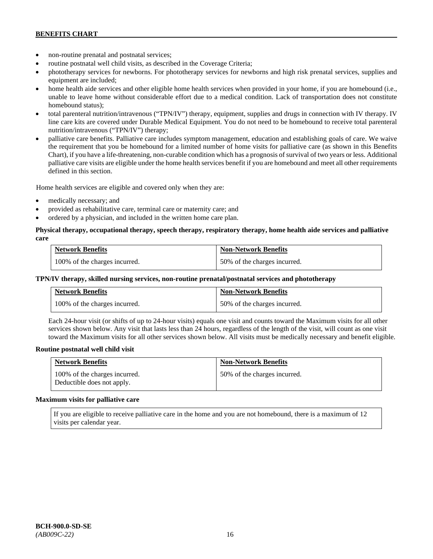- non-routine prenatal and postnatal services;
- routine postnatal well child visits, as described in the Coverage Criteria;
- phototherapy services for newborns. For phototherapy services for newborns and high risk prenatal services, supplies and equipment are included;
- home health aide services and other eligible home health services when provided in your home, if you are homebound (i.e., unable to leave home without considerable effort due to a medical condition. Lack of transportation does not constitute homebound status);
- total parenteral nutrition/intravenous ("TPN/IV") therapy, equipment, supplies and drugs in connection with IV therapy. IV line care kits are covered under Durable Medical Equipment. You do not need to be homebound to receive total parenteral nutrition/intravenous ("TPN/IV") therapy;
- palliative care benefits. Palliative care includes symptom management, education and establishing goals of care. We waive the requirement that you be homebound for a limited number of home visits for palliative care (as shown in this Benefits Chart), if you have a life-threatening, non-curable condition which has a prognosis of survival of two years or less. Additional palliative care visits are eligible under the home health services benefit if you are homebound and meet all other requirements defined in this section.

Home health services are eligible and covered only when they are:

- medically necessary; and
- provided as rehabilitative care, terminal care or maternity care; and
- ordered by a physician, and included in the written home care plan.

### **Physical therapy, occupational therapy, speech therapy, respiratory therapy, home health aide services and palliative care**

| <b>Network Benefits</b>       | <b>Non-Network Benefits</b>  |
|-------------------------------|------------------------------|
| 100% of the charges incurred. | 50% of the charges incurred. |

### **TPN/IV therapy, skilled nursing services, non-routine prenatal/postnatal services and phototherapy**

| Network Benefits              | <b>Non-Network Benefits</b>  |
|-------------------------------|------------------------------|
| 100% of the charges incurred. | 50% of the charges incurred. |

Each 24-hour visit (or shifts of up to 24-hour visits) equals one visit and counts toward the Maximum visits for all other services shown below. Any visit that lasts less than 24 hours, regardless of the length of the visit, will count as one visit toward the Maximum visits for all other services shown below. All visits must be medically necessary and benefit eligible.

### **Routine postnatal well child visit**

| <b>Network Benefits</b>                                     | <b>Non-Network Benefits</b>  |
|-------------------------------------------------------------|------------------------------|
| 100% of the charges incurred.<br>Deductible does not apply. | 50% of the charges incurred. |

#### **Maximum visits for palliative care**

If you are eligible to receive palliative care in the home and you are not homebound, there is a maximum of 12 visits per calendar year.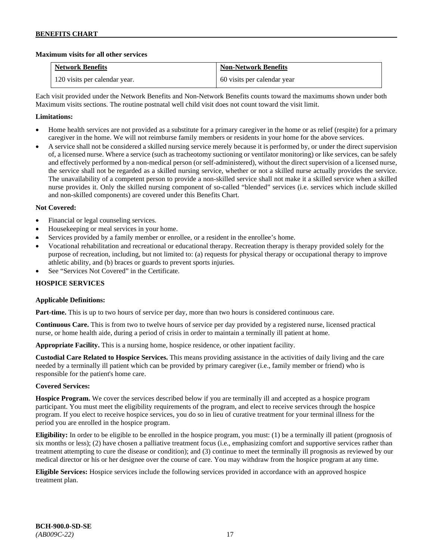### **Maximum visits for all other services**

| <b>Network Benefits</b>       | <b>Non-Network Benefits</b> |
|-------------------------------|-----------------------------|
| 120 visits per calendar year. | 60 visits per calendar year |

Each visit provided under the Network Benefits and Non-Network Benefits counts toward the maximums shown under both Maximum visits sections. The routine postnatal well child visit does not count toward the visit limit.

### **Limitations:**

- Home health services are not provided as a substitute for a primary caregiver in the home or as relief (respite) for a primary caregiver in the home. We will not reimburse family members or residents in your home for the above services.
- A service shall not be considered a skilled nursing service merely because it is performed by, or under the direct supervision of, a licensed nurse. Where a service (such as tracheotomy suctioning or ventilator monitoring) or like services, can be safely and effectively performed by a non-medical person (or self-administered), without the direct supervision of a licensed nurse, the service shall not be regarded as a skilled nursing service, whether or not a skilled nurse actually provides the service. The unavailability of a competent person to provide a non-skilled service shall not make it a skilled service when a skilled nurse provides it. Only the skilled nursing component of so-called "blended" services (i.e. services which include skilled and non-skilled components) are covered under this Benefits Chart.

### **Not Covered:**

- Financial or legal counseling services.
- Housekeeping or meal services in your home.
- Services provided by a family member or enrollee, or a resident in the enrollee's home.
- Vocational rehabilitation and recreational or educational therapy. Recreation therapy is therapy provided solely for the purpose of recreation, including, but not limited to: (a) requests for physical therapy or occupational therapy to improve athletic ability, and (b) braces or guards to prevent sports injuries.
- See "Services Not Covered" in the Certificate.

### **HOSPICE SERVICES**

### **Applicable Definitions:**

**Part-time.** This is up to two hours of service per day, more than two hours is considered continuous care.

**Continuous Care.** This is from two to twelve hours of service per day provided by a registered nurse, licensed practical nurse, or home health aide, during a period of crisis in order to maintain a terminally ill patient at home.

**Appropriate Facility.** This is a nursing home, hospice residence, or other inpatient facility.

**Custodial Care Related to Hospice Services.** This means providing assistance in the activities of daily living and the care needed by a terminally ill patient which can be provided by primary caregiver (i.e., family member or friend) who is responsible for the patient's home care.

### **Covered Services:**

**Hospice Program.** We cover the services described below if you are terminally ill and accepted as a hospice program participant. You must meet the eligibility requirements of the program, and elect to receive services through the hospice program. If you elect to receive hospice services, you do so in lieu of curative treatment for your terminal illness for the period you are enrolled in the hospice program.

**Eligibility:** In order to be eligible to be enrolled in the hospice program, you must: (1) be a terminally ill patient (prognosis of six months or less); (2) have chosen a palliative treatment focus (i.e., emphasizing comfort and supportive services rather than treatment attempting to cure the disease or condition); and (3) continue to meet the terminally ill prognosis as reviewed by our medical director or his or her designee over the course of care. You may withdraw from the hospice program at any time.

**Eligible Services:** Hospice services include the following services provided in accordance with an approved hospice treatment plan.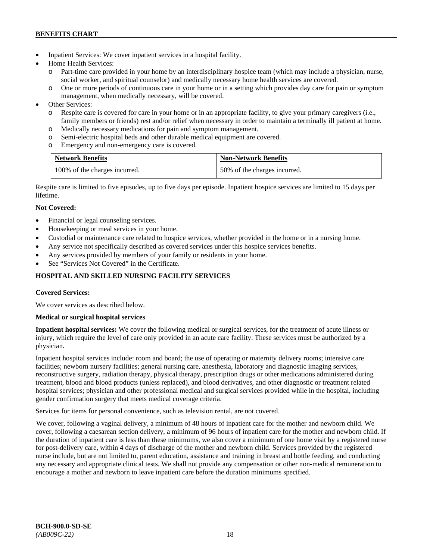- Inpatient Services: We cover inpatient services in a hospital facility.
- Home Health Services:
	- Part-time care provided in your home by an interdisciplinary hospice team (which may include a physician, nurse, social worker, and spiritual counselor) and medically necessary home health services are covered.
	- o One or more periods of continuous care in your home or in a setting which provides day care for pain or symptom management, when medically necessary, will be covered.
- Other Services:
	- o Respite care is covered for care in your home or in an appropriate facility, to give your primary caregivers (i.e., family members or friends) rest and/or relief when necessary in order to maintain a terminally ill patient at home*.*
	- o Medically necessary medications for pain and symptom management.
	- o Semi-electric hospital beds and other durable medical equipment are covered.
	- o Emergency and non-emergency care is covered.

| <b>Network Benefits</b>       | <b>Non-Network Benefits</b>  |
|-------------------------------|------------------------------|
| 100% of the charges incurred. | 50% of the charges incurred. |

Respite care is limited to five episodes, up to five days per episode. Inpatient hospice services are limited to 15 days per lifetime.

# **Not Covered:**

- Financial or legal counseling services.
- Housekeeping or meal services in your home.
- Custodial or maintenance care related to hospice services, whether provided in the home or in a nursing home.
- Any service not specifically described as covered services under this hospice services benefits.
- Any services provided by members of your family or residents in your home.
- See "Services Not Covered" in the Certificate.

# **HOSPITAL AND SKILLED NURSING FACILITY SERVICES**

### **Covered Services:**

We cover services as described below.

### **Medical or surgical hospital services**

**Inpatient hospital services:** We cover the following medical or surgical services, for the treatment of acute illness or injury, which require the level of care only provided in an acute care facility. These services must be authorized by a physician.

Inpatient hospital services include: room and board; the use of operating or maternity delivery rooms; intensive care facilities; newborn nursery facilities; general nursing care, anesthesia, laboratory and diagnostic imaging services, reconstructive surgery, radiation therapy, physical therapy, prescription drugs or other medications administered during treatment, blood and blood products (unless replaced), and blood derivatives, and other diagnostic or treatment related hospital services; physician and other professional medical and surgical services provided while in the hospital, including gender confirmation surgery that meets medical coverage criteria.

Services for items for personal convenience, such as television rental, are not covered.

We cover, following a vaginal delivery, a minimum of 48 hours of inpatient care for the mother and newborn child. We cover, following a caesarean section delivery, a minimum of 96 hours of inpatient care for the mother and newborn child. If the duration of inpatient care is less than these minimums, we also cover a minimum of one home visit by a registered nurse for post-delivery care, within 4 days of discharge of the mother and newborn child. Services provided by the registered nurse include, but are not limited to, parent education, assistance and training in breast and bottle feeding, and conducting any necessary and appropriate clinical tests. We shall not provide any compensation or other non-medical remuneration to encourage a mother and newborn to leave inpatient care before the duration minimums specified.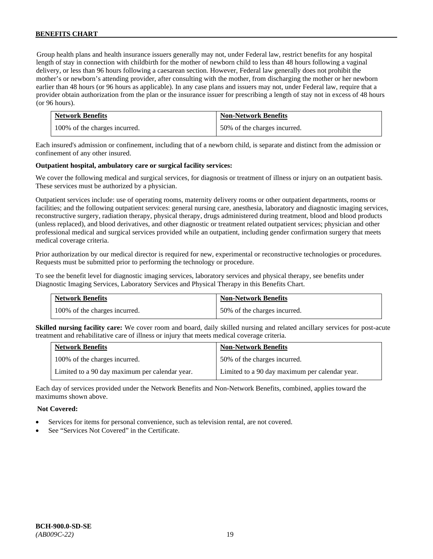Group health plans and health insurance issuers generally may not, under Federal law, restrict benefits for any hospital length of stay in connection with childbirth for the mother of newborn child to less than 48 hours following a vaginal delivery, or less than 96 hours following a caesarean section. However, Federal law generally does not prohibit the mother's or newborn's attending provider, after consulting with the mother, from discharging the mother or her newborn earlier than 48 hours (or 96 hours as applicable). In any case plans and issuers may not, under Federal law, require that a provider obtain authorization from the plan or the insurance issuer for prescribing a length of stay not in excess of 48 hours (or 96 hours).

| <b>Network Benefits</b>       | <b>Non-Network Benefits</b>  |
|-------------------------------|------------------------------|
| 100% of the charges incurred. | 50% of the charges incurred. |

Each insured's admission or confinement, including that of a newborn child, is separate and distinct from the admission or confinement of any other insured.

#### **Outpatient hospital, ambulatory care or surgical facility services:**

We cover the following medical and surgical services, for diagnosis or treatment of illness or injury on an outpatient basis. These services must be authorized by a physician.

Outpatient services include: use of operating rooms, maternity delivery rooms or other outpatient departments, rooms or facilities; and the following outpatient services: general nursing care, anesthesia, laboratory and diagnostic imaging services, reconstructive surgery, radiation therapy, physical therapy, drugs administered during treatment, blood and blood products (unless replaced), and blood derivatives, and other diagnostic or treatment related outpatient services; physician and other professional medical and surgical services provided while an outpatient, including gender confirmation surgery that meets medical coverage criteria.

Prior authorization by our medical director is required for new, experimental or reconstructive technologies or procedures. Requests must be submitted prior to performing the technology or procedure.

To see the benefit level for diagnostic imaging services, laboratory services and physical therapy, see benefits under Diagnostic Imaging Services, Laboratory Services and Physical Therapy in this Benefits Chart.

| <b>Network Benefits</b>       | <b>Non-Network Benefits</b>  |
|-------------------------------|------------------------------|
| 100% of the charges incurred. | 50% of the charges incurred. |

**Skilled nursing facility care:** We cover room and board, daily skilled nursing and related ancillary services for post-acute treatment and rehabilitative care of illness or injury that meets medical coverage criteria.

| <b>Network Benefits</b>                        | <b>Non-Network Benefits</b>                    |
|------------------------------------------------|------------------------------------------------|
| 100% of the charges incurred.                  | 50% of the charges incurred.                   |
| Limited to a 90 day maximum per calendar year. | Limited to a 90 day maximum per calendar year. |

Each day of services provided under the Network Benefits and Non-Network Benefits, combined, applies toward the maximums shown above.

### **Not Covered:**

- Services for items for personal convenience, such as television rental, are not covered.
- See "Services Not Covered" in the Certificate.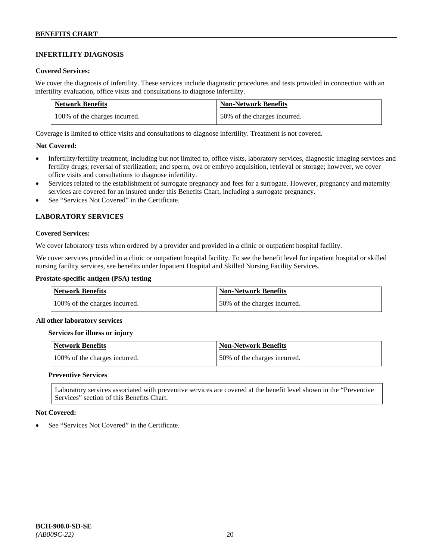# **INFERTILITY DIAGNOSIS**

### **Covered Services:**

We cover the diagnosis of infertility. These services include diagnostic procedures and tests provided in connection with an infertility evaluation, office visits and consultations to diagnose infertility.

| <b>Network Benefits</b>       | <b>Non-Network Benefits</b>  |
|-------------------------------|------------------------------|
| 100% of the charges incurred. | 50% of the charges incurred. |

Coverage is limited to office visits and consultations to diagnose infertility. Treatment is not covered.

### **Not Covered:**

- Infertility/fertility treatment, including but not limited to, office visits, laboratory services, diagnostic imaging services and fertility drugs; reversal of sterilization; and sperm, ova or embryo acquisition, retrieval or storage; however, we cover office visits and consultations to diagnose infertility.
- Services related to the establishment of surrogate pregnancy and fees for a surrogate. However, pregnancy and maternity services are covered for an insured under this Benefits Chart, including a surrogate pregnancy.
- See "Services Not Covered" in the Certificate.

### **LABORATORY SERVICES**

#### **Covered Services:**

We cover laboratory tests when ordered by a provider and provided in a clinic or outpatient hospital facility.

We cover services provided in a clinic or outpatient hospital facility. To see the benefit level for inpatient hospital or skilled nursing facility services, see benefits under Inpatient Hospital and Skilled Nursing Facility Services.

### **Prostate-specific antigen (PSA) testing**

| <b>Network Benefits</b>       | <b>Non-Network Benefits</b>  |
|-------------------------------|------------------------------|
| 100% of the charges incurred. | 50% of the charges incurred. |

#### **All other laboratory services**

#### **Services for illness or injury**

| <b>Network Benefits</b>       | Non-Network Benefits         |
|-------------------------------|------------------------------|
| 100% of the charges incurred. | 50% of the charges incurred. |

### **Preventive Services**

Laboratory services associated with preventive services are covered at the benefit level shown in the "Preventive Services" section of this Benefits Chart.

#### **Not Covered:**

See "Services Not Covered" in the Certificate.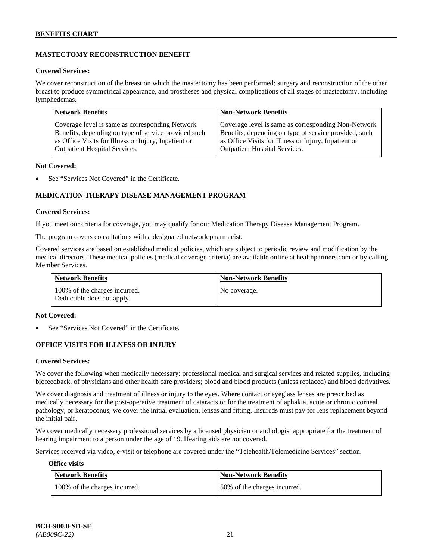# **MASTECTOMY RECONSTRUCTION BENEFIT**

#### **Covered Services:**

We cover reconstruction of the breast on which the mastectomy has been performed; surgery and reconstruction of the other breast to produce symmetrical appearance, and prostheses and physical complications of all stages of mastectomy, including lymphedemas.

| <b>Network Benefits</b>                              | <b>Non-Network Benefits</b>                           |
|------------------------------------------------------|-------------------------------------------------------|
| Coverage level is same as corresponding Network      | Coverage level is same as corresponding Non-Network   |
| Benefits, depending on type of service provided such | Benefits, depending on type of service provided, such |
| as Office Visits for Illness or Injury, Inpatient or | as Office Visits for Illness or Injury, Inpatient or  |
| Outpatient Hospital Services.                        | <b>Outpatient Hospital Services.</b>                  |

#### **Not Covered:**

See "Services Not Covered" in the Certificate.

### **MEDICATION THERAPY DISEASE MANAGEMENT PROGRAM**

#### **Covered Services:**

If you meet our criteria for coverage, you may qualify for our Medication Therapy Disease Management Program.

The program covers consultations with a designated network pharmacist.

Covered services are based on established medical policies, which are subject to periodic review and modification by the medical directors. These medical policies (medical coverage criteria) are available online at [healthpartners.com](http://www.healthpartners.com/) or by calling Member Services.

| <b>Network Benefits</b>                                     | <b>Non-Network Benefits</b> |
|-------------------------------------------------------------|-----------------------------|
| 100% of the charges incurred.<br>Deductible does not apply. | No coverage.                |

#### **Not Covered:**

See "Services Not Covered" in the Certificate.

### **OFFICE VISITS FOR ILLNESS OR INJURY**

#### **Covered Services:**

We cover the following when medically necessary: professional medical and surgical services and related supplies, including biofeedback, of physicians and other health care providers; blood and blood products (unless replaced) and blood derivatives.

We cover diagnosis and treatment of illness or injury to the eyes. Where contact or eyeglass lenses are prescribed as medically necessary for the post-operative treatment of cataracts or for the treatment of aphakia, acute or chronic corneal pathology, or keratoconus, we cover the initial evaluation, lenses and fitting. Insureds must pay for lens replacement beyond the initial pair.

We cover medically necessary professional services by a licensed physician or audiologist appropriate for the treatment of hearing impairment to a person under the age of 19. Hearing aids are not covered.

Services received via video, e-visit or telephone are covered under the "Telehealth/Telemedicine Services" section.

#### **Office visits**

| <b>Network Benefits</b>       | <b>Non-Network Benefits</b>  |
|-------------------------------|------------------------------|
| 100% of the charges incurred. | 50% of the charges incurred. |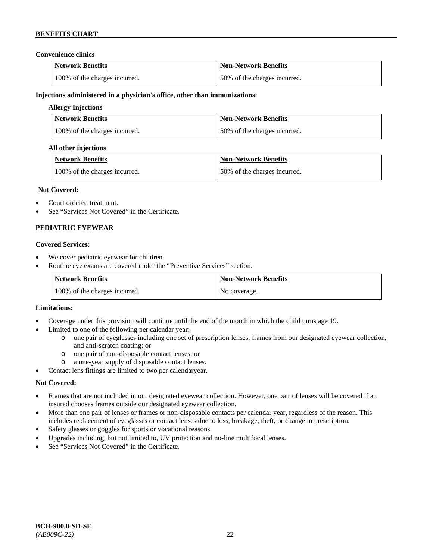### **Convenience clinics**

| <b>Network Benefits</b>       | <b>Non-Network Benefits</b>  |
|-------------------------------|------------------------------|
| 100% of the charges incurred. | 50% of the charges incurred. |

#### **Injections administered in a physician's office, other than immunizations:**

### **Allergy Injections**

| <b>Network Benefits</b>       | <b>Non-Network Benefits</b>  |
|-------------------------------|------------------------------|
| 100% of the charges incurred. | 50% of the charges incurred. |

#### **All other injections**

| <b>Network Benefits</b>       | <b>Non-Network Benefits</b>  |
|-------------------------------|------------------------------|
| 100% of the charges incurred. | 50% of the charges incurred. |

#### **Not Covered:**

- Court ordered treatment.
- See "Services Not Covered" in the Certificate.

### **PEDIATRIC EYEWEAR**

#### **Covered Services:**

- We cover pediatric eyewear for children.
- Routine eye exams are covered under the "Preventive Services" section.

| <b>Network Benefits</b>       | <b>Non-Network Benefits</b> |
|-------------------------------|-----------------------------|
| 100% of the charges incurred. | No coverage.                |

#### **Limitations:**

- Coverage under this provision will continue until the end of the month in which the child turns age 19.
- Limited to one of the following per calendar year:
	- o one pair of eyeglasses including one set of prescription lenses, frames from our designated eyewear collection, and anti-scratch coating; or
	- o one pair of non-disposable contact lenses; or
	- a one-year supply of disposable contact lenses.
- Contact lens fittings are limited to two per calendaryear.

### **Not Covered:**

- Frames that are not included in our designated eyewear collection. However, one pair of lenses will be covered if an insured chooses frames outside our designated eyewear collection.
- More than one pair of lenses or frames or non-disposable contacts per calendar year, regardless of the reason. This includes replacement of eyeglasses or contact lenses due to loss, breakage, theft, or change in prescription.
- Safety glasses or goggles for sports or vocational reasons.
- Upgrades including, but not limited to, UV protection and no-line multifocal lenses.
- See "Services Not Covered" in the Certificate.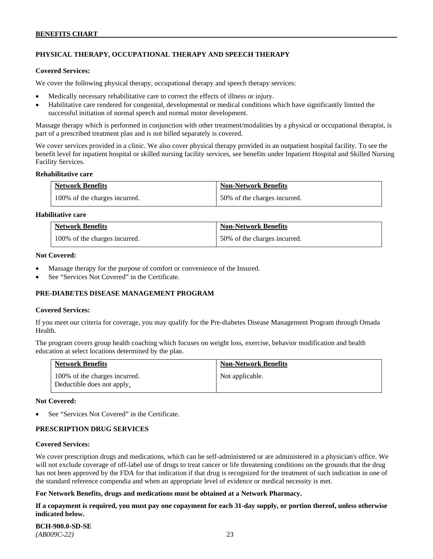# **PHYSICAL THERAPY, OCCUPATIONAL THERAPY AND SPEECH THERAPY**

#### **Covered Services:**

We cover the following physical therapy, occupational therapy and speech therapy services:

- Medically necessary rehabilitative care to correct the effects of illness or injury.
- Habilitative care rendered for congenital, developmental or medical conditions which have significantly limited the successful initiation of normal speech and normal motor development.

Massage therapy which is performed in conjunction with other treatment/modalities by a physical or occupational therapist, is part of a prescribed treatment plan and is not billed separately is covered.

We cover services provided in a clinic. We also cover physical therapy provided in an outpatient hospital facility. To see the benefit level for inpatient hospital or skilled nursing facility services, see benefits under Inpatient Hospital and Skilled Nursing Facility Services.

#### **Rehabilitative care**

| <b>Network Benefits</b>       | <b>Non-Network Benefits</b>  |
|-------------------------------|------------------------------|
| 100% of the charges incurred. | 50% of the charges incurred. |

### **Habilitative care**

| <b>Network Benefits</b>       | <b>Non-Network Benefits</b>  |
|-------------------------------|------------------------------|
| 100% of the charges incurred. | 50% of the charges incurred. |

#### **Not Covered:**

- Massage therapy for the purpose of comfort or convenience of the Insured.
- See "Services Not Covered" in the Certificate.

### **PRE-DIABETES DISEASE MANAGEMENT PROGRAM**

#### **Covered Services:**

If you meet our criteria for coverage, you may qualify for the Pre-diabetes Disease Management Program through Omada Health.

The program covers group health coaching which focuses on weight loss, exercise, behavior modification and health education at select locations determined by the plan.

| <b>Network Benefits</b>                                     | <b>Non-Network Benefits</b> |
|-------------------------------------------------------------|-----------------------------|
| 100% of the charges incurred.<br>Deductible does not apply. | Not applicable.             |

#### **Not Covered:**

See "Services Not Covered" in the Certificate.

### **PRESCRIPTION DRUG SERVICES**

#### **Covered Services:**

We cover prescription drugs and medications, which can be self-administered or are administered in a physician's office. We will not exclude coverage of off-label use of drugs to treat cancer or life threatening conditions on the grounds that the drug has not been approved by the FDA for that indication if that drug is recognized for the treatment of such indication in one of the standard reference compendia and when an appropriate level of evidence or medical necessity is met.

#### **For Network Benefits, drugs and medications must be obtained at a Network Pharmacy.**

**If a copayment is required, you must pay one copayment for each 31-day supply, or portion thereof, unless otherwise indicated below.**

**BCH-900.0-SD-SE**  *(AB009C-22)* 23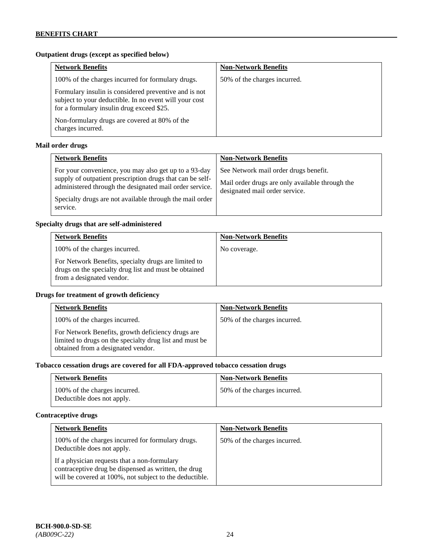# **Outpatient drugs (except as specified below)**

| <b>Network Benefits</b>                                                                                                                                      | <b>Non-Network Benefits</b>  |
|--------------------------------------------------------------------------------------------------------------------------------------------------------------|------------------------------|
| 100% of the charges incurred for formulary drugs.                                                                                                            | 50% of the charges incurred. |
| Formulary insulin is considered preventive and is not<br>subject to your deductible. In no event will your cost<br>for a formulary insulin drug exceed \$25. |                              |
| Non-formulary drugs are covered at 80% of the<br>charges incurred.                                                                                           |                              |

# **Mail order drugs**

| <b>Network Benefits</b>                                                                                                                                                                                                                               | <b>Non-Network Benefits</b>                                                                                                |
|-------------------------------------------------------------------------------------------------------------------------------------------------------------------------------------------------------------------------------------------------------|----------------------------------------------------------------------------------------------------------------------------|
| For your convenience, you may also get up to a 93-day<br>supply of outpatient prescription drugs that can be self-<br>administered through the designated mail order service.<br>Specialty drugs are not available through the mail order<br>service. | See Network mail order drugs benefit.<br>Mail order drugs are only available through the<br>designated mail order service. |

### **Specialty drugs that are self-administered**

| <b>Network Benefits</b>                                                                                                                    | <b>Non-Network Benefits</b> |
|--------------------------------------------------------------------------------------------------------------------------------------------|-----------------------------|
| 100% of the charges incurred.                                                                                                              | No coverage.                |
| For Network Benefits, specialty drugs are limited to<br>drugs on the specialty drug list and must be obtained<br>from a designated vendor. |                             |

### **Drugs for treatment of growth deficiency**

| <b>Network Benefits</b>                                                                                                                            | <b>Non-Network Benefits</b>  |
|----------------------------------------------------------------------------------------------------------------------------------------------------|------------------------------|
| 100% of the charges incurred.                                                                                                                      | 50% of the charges incurred. |
| For Network Benefits, growth deficiency drugs are<br>limited to drugs on the specialty drug list and must be<br>obtained from a designated vendor. |                              |

# **Tobacco cessation drugs are covered for all FDA-approved tobacco cessation drugs**

| <b>Network Benefits</b>                                     | <b>Non-Network Benefits</b>  |
|-------------------------------------------------------------|------------------------------|
| 100% of the charges incurred.<br>Deductible does not apply. | 50% of the charges incurred. |

# **Contraceptive drugs**

| <b>Network Benefits</b>                                                                                                                                         | <b>Non-Network Benefits</b>  |
|-----------------------------------------------------------------------------------------------------------------------------------------------------------------|------------------------------|
| 100% of the charges incurred for formulary drugs.<br>Deductible does not apply.                                                                                 | 50% of the charges incurred. |
| If a physician requests that a non-formulary<br>contraceptive drug be dispensed as written, the drug<br>will be covered at 100%, not subject to the deductible. |                              |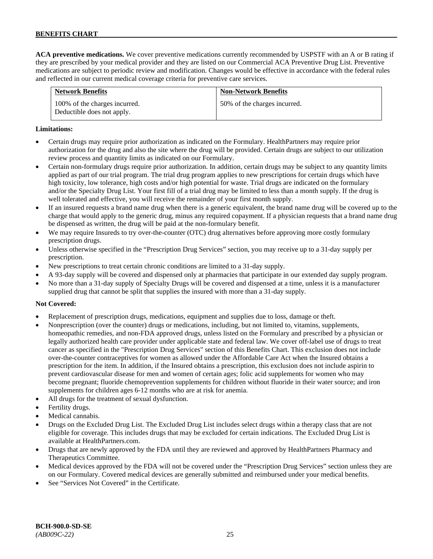**ACA preventive medications.** We cover preventive medications currently recommended by USPSTF with an A or B rating if they are prescribed by your medical provider and they are listed on our Commercial ACA Preventive Drug List. Preventive medications are subject to periodic review and modification. Changes would be effective in accordance with the federal rules and reflected in our current medical coverage criteria for preventive care services.

| <b>Network Benefits</b>                                     | <b>Non-Network Benefits</b>  |
|-------------------------------------------------------------|------------------------------|
| 100% of the charges incurred.<br>Deductible does not apply. | 50% of the charges incurred. |

### **Limitations:**

- Certain drugs may require prior authorization as indicated on the Formulary. HealthPartners may require prior authorization for the drug and also the site where the drug will be provided. Certain drugs are subject to our utilization review process and quantity limits as indicated on our Formulary.
- Certain non-formulary drugs require prior authorization. In addition, certain drugs may be subject to any quantity limits applied as part of our trial program. The trial drug program applies to new prescriptions for certain drugs which have high toxicity, low tolerance, high costs and/or high potential for waste. Trial drugs are indicated on the formulary and/or the Specialty Drug List. Your first fill of a trial drug may be limited to less than a month supply. If the drug is well tolerated and effective, you will receive the remainder of your first month supply.
- If an insured requests a brand name drug when there is a generic equivalent, the brand name drug will be covered up to the charge that would apply to the generic drug, minus any required copayment. If a physician requests that a brand name drug be dispensed as written, the drug will be paid at the non-formulary benefit.
- We may require Insureds to try over-the-counter (OTC) drug alternatives before approving more costly formulary prescription drugs.
- Unless otherwise specified in the "Prescription Drug Services" section, you may receive up to a 31-day supply per prescription.
- New prescriptions to treat certain chronic conditions are limited to a 31-day supply.
- A 93-day supply will be covered and dispensed only at pharmacies that participate in our extended day supply program.
- No more than a 31-day supply of Specialty Drugs will be covered and dispensed at a time, unless it is a manufacturer supplied drug that cannot be split that supplies the insured with more than a 31-day supply.

### **Not Covered:**

- Replacement of prescription drugs, medications, equipment and supplies due to loss, damage or theft.
- Nonprescription (over the counter) drugs or medications, including, but not limited to, vitamins, supplements, homeopathic remedies, and non-FDA approved drugs, unless listed on the Formulary and prescribed by a physician or legally authorized health care provider under applicable state and federal law. We cover off-label use of drugs to treat cancer as specified in the "Prescription Drug Services" section of this Benefits Chart. This exclusion does not include over-the-counter contraceptives for women as allowed under the Affordable Care Act when the Insured obtains a prescription for the item. In addition, if the Insured obtains a prescription, this exclusion does not include aspirin to prevent cardiovascular disease for men and women of certain ages; folic acid supplements for women who may become pregnant; fluoride chemoprevention supplements for children without fluoride in their water source; and iron supplements for children ages 6-12 months who are at risk for anemia.
- All drugs for the treatment of sexual dysfunction.
- Fertility drugs.
- Medical cannabis.
- Drugs on the Excluded Drug List. The Excluded Drug List includes select drugs within a therapy class that are not eligible for coverage. This includes drugs that may be excluded for certain indications. The Excluded Drug List is available a[t HealthPartners.com.](http://www.healthpartners.com/)
- Drugs that are newly approved by the FDA until they are reviewed and approved by HealthPartners Pharmacy and Therapeutics Committee.
- Medical devices approved by the FDA will not be covered under the "Prescription Drug Services" section unless they are on our Formulary. Covered medical devices are generally submitted and reimbursed under your medical benefits.
- See "Services Not Covered" in the Certificate.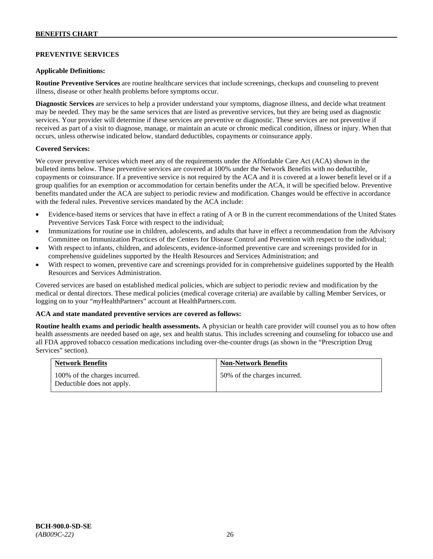### **PREVENTIVE SERVICES**

#### **Applicable Definitions:**

**Routine Preventive Services** are routine healthcare services that include screenings, checkups and counseling to prevent illness, disease or other health problems before symptoms occur.

**Diagnostic Services** are services to help a provider understand your symptoms, diagnose illness, and decide what treatment may be needed. They may be the same services that are listed as preventive services, but they are being used as diagnostic services. Your provider will determine if these services are preventive or diagnostic. These services are not preventive if received as part of a visit to diagnose, manage, or maintain an acute or chronic medical condition, illness or injury. When that occurs, unless otherwise indicated below, standard deductibles, copayments or coinsurance apply.

#### **Covered Services:**

We cover preventive services which meet any of the requirements under the Affordable Care Act (ACA) shown in the bulleted items below. These preventive services are covered at 100% under the Network Benefits with no deductible, copayments or coinsurance. If a preventive service is not required by the ACA and it is covered at a lower benefit level or if a group qualifies for an exemption or accommodation for certain benefits under the ACA, it will be specified below. Preventive benefits mandated under the ACA are subject to periodic review and modification. Changes would be effective in accordance with the federal rules. Preventive services mandated by the ACA include:

- Evidence-based items or services that have in effect a rating of A or B in the current recommendations of the United States Preventive Services Task Force with respect to the individual;
- Immunizations for routine use in children, adolescents, and adults that have in effect a recommendation from the Advisory Committee on Immunization Practices of the Centers for Disease Control and Prevention with respect to the individual;
- With respect to infants, children, and adolescents, evidence-informed preventive care and screenings provided for in comprehensive guidelines supported by the Health Resources and Services Administration; and
- With respect to women, preventive care and screenings provided for in comprehensive guidelines supported by the Health Resources and Services Administration.

Covered services are based on established medical policies, which are subject to periodic review and modification by the medical or dental directors. These medical policies (medical coverage criteria) are available by calling Member Services, or logging on to your "*my*HealthPartners" account at [HealthPartners.com.](http://www.healthpartners.com/)

#### **ACA and state mandated preventive services are covered as follows:**

**Routine health exams and periodic health assessments.** A physician or health care provider will counsel you as to how often health assessments are needed based on age, sex and health status. This includes screening and counseling for tobacco use and all FDA approved tobacco cessation medications including over-the-counter drugs (as shown in the "Prescription Drug Services" section).

| <b>Network Benefits</b>                                     | <b>Non-Network Benefits</b>  |
|-------------------------------------------------------------|------------------------------|
| 100% of the charges incurred.<br>Deductible does not apply. | 50% of the charges incurred. |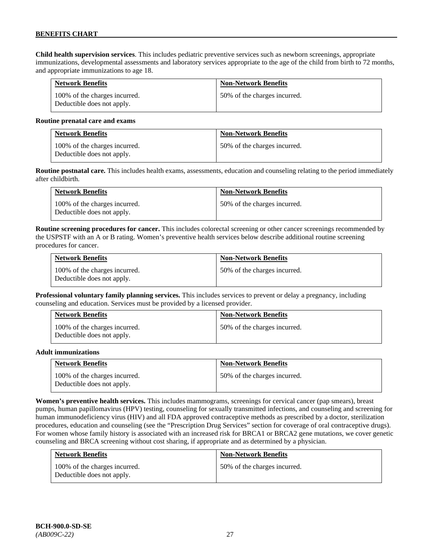**Child health supervision services**. This includes pediatric preventive services such as newborn screenings, appropriate immunizations, developmental assessments and laboratory services appropriate to the age of the child from birth to 72 months, and appropriate immunizations to age 18.

| <b>Network Benefits</b>                                     | <b>Non-Network Benefits</b>  |
|-------------------------------------------------------------|------------------------------|
| 100% of the charges incurred.<br>Deductible does not apply. | 50% of the charges incurred. |

#### **Routine prenatal care and exams**

| <b>Network Benefits</b>                                     | <b>Non-Network Benefits</b>  |
|-------------------------------------------------------------|------------------------------|
| 100% of the charges incurred.<br>Deductible does not apply. | 50% of the charges incurred. |

**Routine postnatal care.** This includes health exams, assessments, education and counseling relating to the period immediately after childbirth.

| <b>Network Benefits</b>                                     | <b>Non-Network Benefits</b>  |
|-------------------------------------------------------------|------------------------------|
| 100% of the charges incurred.<br>Deductible does not apply. | 50% of the charges incurred. |

**Routine screening procedures for cancer.** This includes colorectal screening or other cancer screenings recommended by the USPSTF with an A or B rating. Women's preventive health services below describe additional routine screening procedures for cancer.

| <b>Network Benefits</b>                                     | <b>Non-Network Benefits</b>  |
|-------------------------------------------------------------|------------------------------|
| 100% of the charges incurred.<br>Deductible does not apply. | 50% of the charges incurred. |

**Professional voluntary family planning services.** This includes services to prevent or delay a pregnancy, including counseling and education. Services must be provided by a licensed provider.

| <b>Network Benefits</b>                                     | <b>Non-Network Benefits</b>  |
|-------------------------------------------------------------|------------------------------|
| 100% of the charges incurred.<br>Deductible does not apply. | 50% of the charges incurred. |

#### **Adult immunizations**

| <b>Network Benefits</b>                                     | <b>Non-Network Benefits</b>  |
|-------------------------------------------------------------|------------------------------|
| 100% of the charges incurred.<br>Deductible does not apply. | 50% of the charges incurred. |

**Women's preventive health services.** This includes mammograms, screenings for cervical cancer (pap smears), breast pumps, human papillomavirus (HPV) testing, counseling for sexually transmitted infections, and counseling and screening for human immunodeficiency virus (HIV) and all FDA approved contraceptive methods as prescribed by a doctor, sterilization procedures, education and counseling (see the "Prescription Drug Services" section for coverage of oral contraceptive drugs). For women whose family history is associated with an increased risk for BRCA1 or BRCA2 gene mutations, we cover genetic counseling and BRCA screening without cost sharing, if appropriate and as determined by a physician.

| <b>Network Benefits</b>                                     | <b>Non-Network Benefits</b>  |
|-------------------------------------------------------------|------------------------------|
| 100% of the charges incurred.<br>Deductible does not apply. | 50% of the charges incurred. |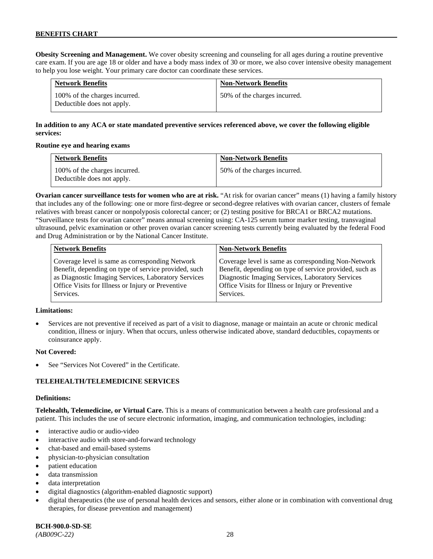**Obesity Screening and Management.** We cover obesity screening and counseling for all ages during a routine preventive care exam. If you are age 18 or older and have a body mass index of 30 or more, we also cover intensive obesity management to help you lose weight. Your primary care doctor can coordinate these services.

| <b>Network Benefits</b>                                     | <b>Non-Network Benefits</b>  |
|-------------------------------------------------------------|------------------------------|
| 100% of the charges incurred.<br>Deductible does not apply. | 50% of the charges incurred. |

# **In addition to any ACA or state mandated preventive services referenced above, we cover the following eligible services:**

#### **Routine eye and hearing exams**

| <b>Network Benefits</b>                                     | <b>Non-Network Benefits</b>  |
|-------------------------------------------------------------|------------------------------|
| 100% of the charges incurred.<br>Deductible does not apply. | 50% of the charges incurred. |

**Ovarian cancer surveillance tests for women who are at risk.** "At risk for ovarian cancer" means (1) having a family history that includes any of the following: one or more first-degree or second-degree relatives with ovarian cancer, clusters of female relatives with breast cancer or nonpolyposis colorectal cancer; or (2) testing positive for BRCA1 or BRCA2 mutations. "Surveillance tests for ovarian cancer" means annual screening using: CA-125 serum tumor marker testing, transvaginal ultrasound, pelvic examination or other proven ovarian cancer screening tests currently being evaluated by the federal Food and Drug Administration or by the National Cancer Institute.

| <b>Network Benefits</b>                              | <b>Non-Network Benefits</b>                             |
|------------------------------------------------------|---------------------------------------------------------|
| Coverage level is same as corresponding Network      | Coverage level is same as corresponding Non-Network     |
| Benefit, depending on type of service provided, such | Benefit, depending on type of service provided, such as |
| as Diagnostic Imaging Services, Laboratory Services  | Diagnostic Imaging Services, Laboratory Services        |
| Office Visits for Illness or Injury or Preventive    | Office Visits for Illness or Injury or Preventive       |
| Services.                                            | Services.                                               |

#### **Limitations:**

• Services are not preventive if received as part of a visit to diagnose, manage or maintain an acute or chronic medical condition, illness or injury. When that occurs, unless otherwise indicated above, standard deductibles, copayments or coinsurance apply.

### **Not Covered:**

See "Services Not Covered" in the Certificate.

### **TELEHEALTH/TELEMEDICINE SERVICES**

#### **Definitions:**

**Telehealth, Telemedicine, or Virtual Care.** This is a means of communication between a health care professional and a patient. This includes the use of secure electronic information, imaging, and communication technologies, including:

- interactive audio or audio-video
- interactive audio with store-and-forward technology
- chat-based and email-based systems
- physician-to-physician consultation
- patient education
- data transmission
- data interpretation
- digital diagnostics (algorithm-enabled diagnostic support)
- digital therapeutics (the use of personal health devices and sensors, either alone or in combination with conventional drug therapies, for disease prevention and management)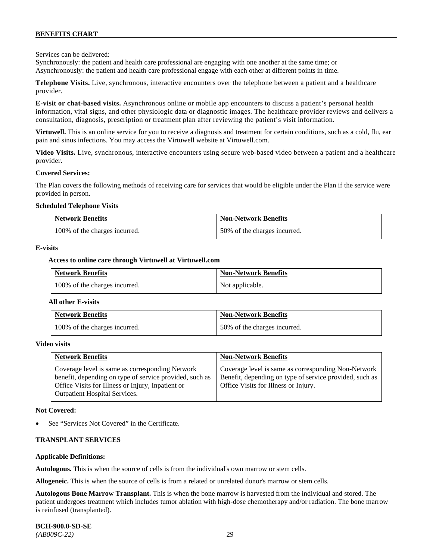Services can be delivered:

Synchronously: the patient and health care professional are engaging with one another at the same time; or Asynchronously: the patient and health care professional engage with each other at different points in time.

**Telephone Visits.** Live, synchronous, interactive encounters over the telephone between a patient and a healthcare provider.

**E-visit or chat-based visits.** Asynchronous online or mobile app encounters to discuss a patient's personal health information, vital signs, and other physiologic data or diagnostic images. The healthcare provider reviews and delivers a consultation, diagnosis, prescription or treatment plan after reviewing the patient's visit information.

**Virtuwell.** This is an online service for you to receive a diagnosis and treatment for certain conditions, such as a cold, flu, ear pain and sinus infections. You may access the Virtuwell website at [Virtuwell.com.](https://www.virtuwell.com/)

**Video Visits.** Live, synchronous, interactive encounters using secure web-based video between a patient and a healthcare provider.

#### **Covered Services:**

The Plan covers the following methods of receiving care for services that would be eligible under the Plan if the service were provided in person.

#### **Scheduled Telephone Visits**

| <b>Network Benefits</b>       | <b>Non-Network Benefits</b>  |
|-------------------------------|------------------------------|
| 100% of the charges incurred. | 50% of the charges incurred. |

#### **E-visits**

#### **Access to online care through Virtuwell at [Virtuwell.com](http://www.virtuwell.com/)**

| <b>Network Benefits</b>       | <b>Non-Network Benefits</b> |
|-------------------------------|-----------------------------|
| 100% of the charges incurred. | Not applicable.             |

#### **All other E-visits**

| <b>Network Benefits</b>       | <b>Non-Network Benefits</b>  |
|-------------------------------|------------------------------|
| 100% of the charges incurred. | 50% of the charges incurred. |

#### **Video visits**

| <b>Network Benefits</b>                                                                                                                                                                          | <b>Non-Network Benefits</b>                                                                                                                            |
|--------------------------------------------------------------------------------------------------------------------------------------------------------------------------------------------------|--------------------------------------------------------------------------------------------------------------------------------------------------------|
| Coverage level is same as corresponding Network<br>benefit, depending on type of service provided, such as<br>Office Visits for Illness or Injury, Inpatient or<br>Outpatient Hospital Services. | Coverage level is same as corresponding Non-Network<br>Benefit, depending on type of service provided, such as<br>Office Visits for Illness or Injury. |

#### **Not Covered:**

See "Services Not Covered" in the Certificate.

#### **TRANSPLANT SERVICES**

#### **Applicable Definitions:**

**Autologous.** This is when the source of cells is from the individual's own marrow or stem cells.

**Allogeneic.** This is when the source of cells is from a related or unrelated donor's marrow or stem cells.

**Autologous Bone Marrow Transplant.** This is when the bone marrow is harvested from the individual and stored. The patient undergoes treatment which includes tumor ablation with high-dose chemotherapy and/or radiation. The bone marrow is reinfused (transplanted).

**BCH-900.0-SD-SE**  *(AB009C-22)* 29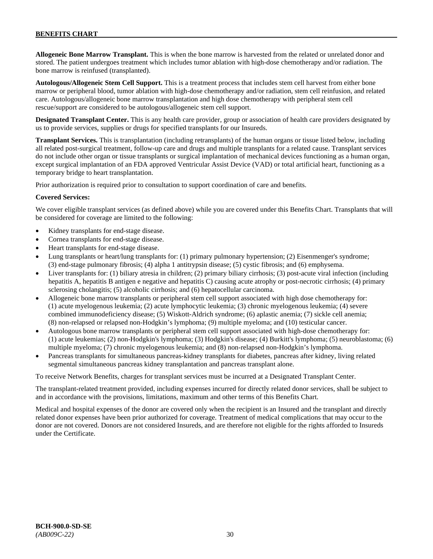**Allogeneic Bone Marrow Transplant.** This is when the bone marrow is harvested from the related or unrelated donor and stored. The patient undergoes treatment which includes tumor ablation with high-dose chemotherapy and/or radiation. The bone marrow is reinfused (transplanted).

**Autologous/Allogeneic Stem Cell Support.** This is a treatment process that includes stem cell harvest from either bone marrow or peripheral blood, tumor ablation with high-dose chemotherapy and/or radiation, stem cell reinfusion, and related care. Autologous/allogeneic bone marrow transplantation and high dose chemotherapy with peripheral stem cell rescue/support are considered to be autologous/allogeneic stem cell support.

**Designated Transplant Center.** This is any health care provider, group or association of health care providers designated by us to provide services, supplies or drugs for specified transplants for our Insureds.

**Transplant Services.** This is transplantation (including retransplants) of the human organs or tissue listed below, including all related post-surgical treatment, follow-up care and drugs and multiple transplants for a related cause. Transplant services do not include other organ or tissue transplants or surgical implantation of mechanical devices functioning as a human organ, except surgical implantation of an FDA approved Ventricular Assist Device (VAD) or total artificial heart, functioning as a temporary bridge to heart transplantation.

Prior authorization is required prior to consultation to support coordination of care and benefits.

#### **Covered Services:**

We cover eligible transplant services (as defined above) while you are covered under this Benefits Chart. Transplants that will be considered for coverage are limited to the following:

- Kidney transplants for end-stage disease.
- Cornea transplants for end-stage disease.
- Heart transplants for end-stage disease.
- Lung transplants or heart/lung transplants for: (1) primary pulmonary hypertension; (2) Eisenmenger's syndrome; (3) end-stage pulmonary fibrosis; (4) alpha 1 antitrypsin disease; (5) cystic fibrosis; and (6) emphysema.
- Liver transplants for: (1) biliary atresia in children; (2) primary biliary cirrhosis; (3) post-acute viral infection (including hepatitis A, hepatitis B antigen e negative and hepatitis C) causing acute atrophy or post-necrotic cirrhosis; (4) primary sclerosing cholangitis; (5) alcoholic cirrhosis; and (6) hepatocellular carcinoma.
- Allogeneic bone marrow transplants or peripheral stem cell support associated with high dose chemotherapy for: (1) acute myelogenous leukemia; (2) acute lymphocytic leukemia; (3) chronic myelogenous leukemia; (4) severe combined immunodeficiency disease; (5) Wiskott-Aldrich syndrome; (6) aplastic anemia; (7) sickle cell anemia; (8) non-relapsed or relapsed non-Hodgkin's lymphoma; (9) multiple myeloma; and (10) testicular cancer.
- Autologous bone marrow transplants or peripheral stem cell support associated with high-dose chemotherapy for: (1) acute leukemias; (2) non-Hodgkin's lymphoma; (3) Hodgkin's disease; (4) Burkitt's lymphoma; (5) neuroblastoma; (6) multiple myeloma; (7) chronic myelogenous leukemia; and (8) non-relapsed non-Hodgkin's lymphoma.
- Pancreas transplants for simultaneous pancreas-kidney transplants for diabetes, pancreas after kidney, living related segmental simultaneous pancreas kidney transplantation and pancreas transplant alone.

To receive Network Benefits, charges for transplant services must be incurred at a Designated Transplant Center.

The transplant-related treatment provided, including expenses incurred for directly related donor services, shall be subject to and in accordance with the provisions, limitations, maximum and other terms of this Benefits Chart.

Medical and hospital expenses of the donor are covered only when the recipient is an Insured and the transplant and directly related donor expenses have been prior authorized for coverage. Treatment of medical complications that may occur to the donor are not covered. Donors are not considered Insureds, and are therefore not eligible for the rights afforded to Insureds under the Certificate.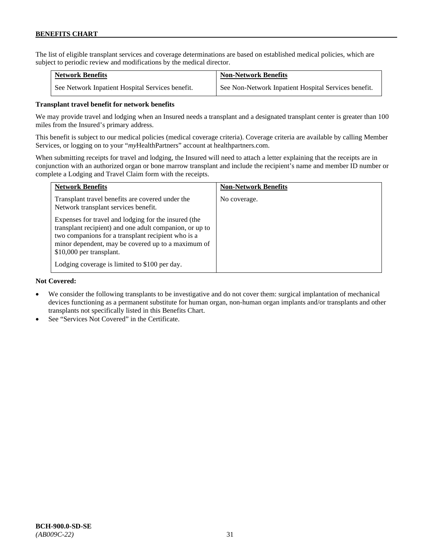The list of eligible transplant services and coverage determinations are based on established medical policies, which are subject to periodic review and modifications by the medical director.

| <b>Network Benefits</b>                          | <b>Non-Network Benefits</b>                          |
|--------------------------------------------------|------------------------------------------------------|
| See Network Inpatient Hospital Services benefit. | See Non-Network Inpatient Hospital Services benefit. |

### **Transplant travel benefit for network benefits**

We may provide travel and lodging when an Insured needs a transplant and a designated transplant center is greater than 100 miles from the Insured's primary address.

This benefit is subject to our medical policies (medical coverage criteria). Coverage criteria are available by calling Member Services, or logging on to your "*my*HealthPartners" account a[t healthpartners.com.](http://www.healthpartners.com/)

When submitting receipts for travel and lodging, the Insured will need to attach a letter explaining that the receipts are in conjunction with an authorized organ or bone marrow transplant and include the recipient's name and member ID number or complete a Lodging and Travel Claim form with the receipts.

| <b>Network Benefits</b>                                                                                                                                                                                                                                 | <b>Non-Network Benefits</b> |
|---------------------------------------------------------------------------------------------------------------------------------------------------------------------------------------------------------------------------------------------------------|-----------------------------|
| Transplant travel benefits are covered under the<br>Network transplant services benefit.                                                                                                                                                                | No coverage.                |
| Expenses for travel and lodging for the insured (the<br>transplant recipient) and one adult companion, or up to<br>two companions for a transplant recipient who is a<br>minor dependent, may be covered up to a maximum of<br>\$10,000 per transplant. |                             |
| Lodging coverage is limited to \$100 per day.                                                                                                                                                                                                           |                             |

### **Not Covered:**

- We consider the following transplants to be investigative and do not cover them: surgical implantation of mechanical devices functioning as a permanent substitute for human organ, non-human organ implants and/or transplants and other transplants not specifically listed in this Benefits Chart.
- See "Services Not Covered" in the Certificate.